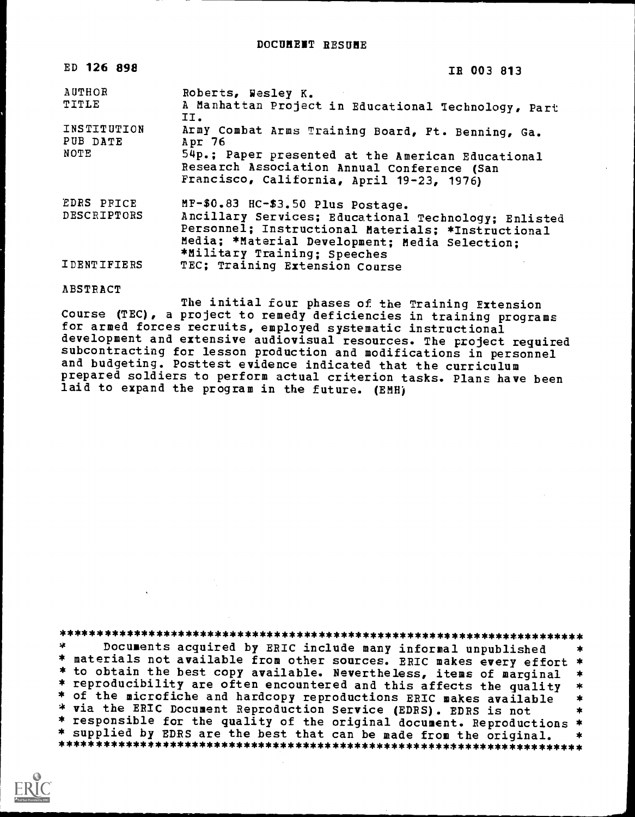| ED 126 898                | IR 003 813                                                                                                                                                                                                                        |
|---------------------------|-----------------------------------------------------------------------------------------------------------------------------------------------------------------------------------------------------------------------------------|
| AUTHOR                    | Roberts, Wesley K.                                                                                                                                                                                                                |
| TITLE                     | A Manhattan Project in Educational Technology, Part<br>II.                                                                                                                                                                        |
| INSTITUTION<br>PUB DATE   | Army Combat Arms Training Board, Ft. Benning, Ga.<br>Apr 76                                                                                                                                                                       |
| NOTE                      | 54p.; Paper presented at the American Educational<br>Research Association Annual Conference (San<br>Francisco, California, April 19-23, 1976)                                                                                     |
| EDRS PRICE<br>DESCRIPTORS | MF-\$0.83 HC-\$3.50 Plus Postage.<br>Ancillary Services; Educational Technology; Enlisted<br>Personnel; Instructional Materials; *Instructional<br>Media; *Material Development; Media Selection;<br>*Military Training; Speeches |
| <b>IDENTIFIERS</b>        | TEC: Training Extension Course                                                                                                                                                                                                    |

#### ABSTRACT

The initial four phases of the Training Extension Course (TEC), a project to remedy deficiencies in training programs for armed forces recruits, employed systematic instructional development and extensive audiovisual resources. The project required subcontracting for lesson production and modifications in personnel and budgeting. Posttest evidence indicated that the curriculum prepared soldiers to perform actual criterion tasks. Plans have been laid to expand the program in the future. (EMH)

\*\*\*\*\*\*\*\*\*\*\*\*\*\*\*\*\*\*\*\*\*\*\*\*\*\*\*\*\*\*\*\*\*\*\*\*\*\*\*\*\*\*\*\*\*\*\*\*\*\*\*\*\*\*\*\*\*\*\*\*\*\*\*\*\*\*\*\*\*\*\* Documents acquired by ERIC include many informal unpublished \* materials not available from other sources. ERIC makes every effort \*<br>\* to obtain the best copy available. Nevertheless, items of marginal \* \* to obtain the best copy available. Nevertheless, items of marginal \*<br>\* reproducibility are often encountered and this affects the quality \*<br>\* of the microfiche and hardcopy reproductions ERIC makes available<br>\* via the ER \* supplied by EDRS are the best that can be made from the original. \*\*\*\*\*\*\*\*\*\*\*\*\*\*\*\*\*\*\*\*\*\*\*\*\*\*\*\*\*\*\*\*\*\*\*\*\*\*\*\*\*\*\*\*\*\*\*\*\*\*\*\*\*\*\*\*\*\*\*\*\*\*\*\*\*\*\*\*\*\*\*

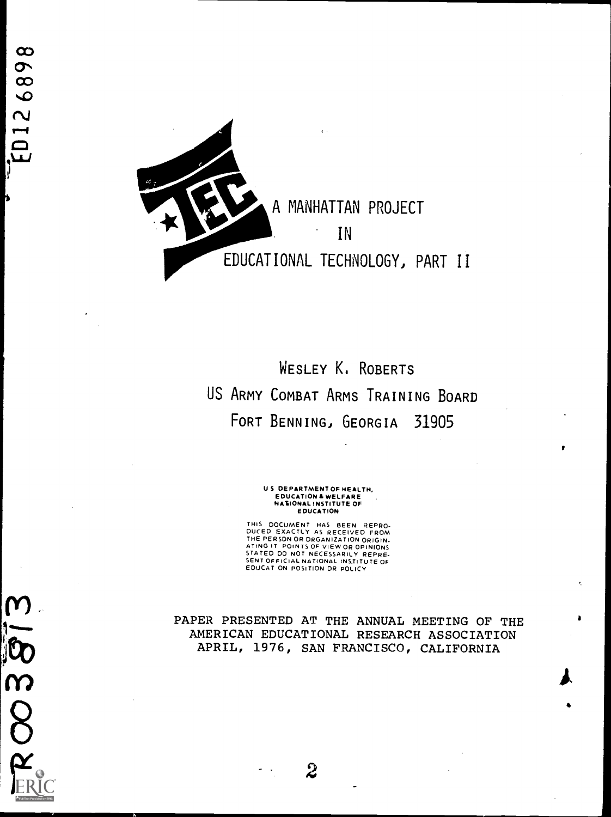$\frac{1}{6}$ 

 $8$ 



WESLEY K. ROBERTS US ARMY COMBAT ARMS TRAINING BOARD FORT BENNING, GEORGIA 31905

> U S DEPARTMENT OF HEALTH, EDUCATION & WELFARE<br>NATIONAL INSTITUTE OF<br>EDUCATION

THIS DOCUMENT HAS BEEN REPRO-DUCED EXACTLY AS RECEIVED FROM THE PERSON OR ORGANIZATION ORIGIN-ATING IT POINTS OF VIEW OR OPINIONS STATED DO NOT NECESSARILY REPRE-SENT OFFICIAL NATIONAL INSTITUTE OF EDUCAT ON POSITION DR POLICY

PAPER PRESENTED AT THE ANNUAL MEETING OF THE AMERICAN EDUCATIONAL RESEARCH ASSOCIATION APRIL, 1976, SAN FRANCISCO, CALIFORNIA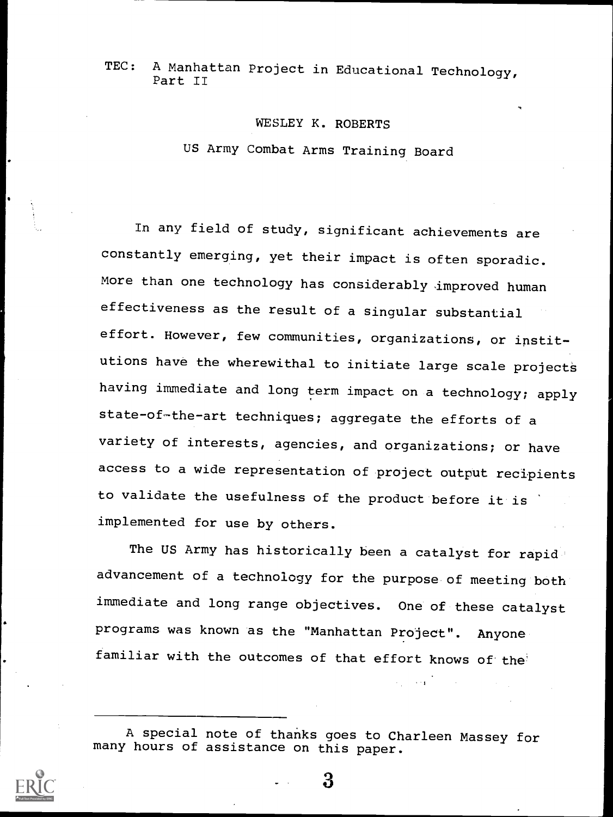TEC: A Manhattan Project in Educational Technology, Part II

#### WESLEY K. ROBERTS

US Army Combat Arms Training Board

In any field of study, significant achievements are constantly emerging, yet their impact is often sporadic. More than one technology has considerably improved human effectiveness as the result of a singular substantial effort. However, few communities, organizations, or institutions have the wherewithal to initiate large scale projects having immediate and long term impact on a technology; apply state-of-the-art techniques; aggregate the efforts of a variety of interests, agencies, and organizations; or have access to a wide representation of project output recipients to validate the usefulness of the product before it is implemented for use by others.

The US Army has historically been a catalyst for rapid advancement of a technology for the purpose of meeting both immediate and long range objectives. One of these catalyst programs was known as the "Manhattan Project". Anyone familiar with the outcomes of that effort knows of the

A special note of thanks goes to Charleen Massey for many hours of assistance on this paper.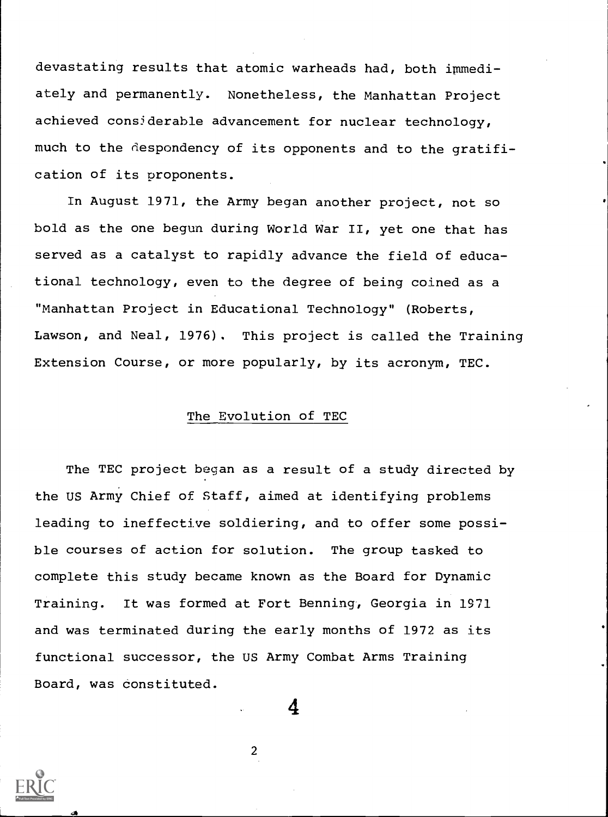devastating results that atomic warheads had, both immediately and permanently. Nonetheless, the Manhattan Project achieved considerable advancement for nuclear technology, much to the despondency of its opponents and to the gratification of its proponents.

In August 1971, the Army began another project, not so bold as the one begun during World War II, yet one that has served as a catalyst to rapidly advance the field of educational technology, even to the degree of being coined as a "Manhattan Project in Educational Technology" (Roberts, Lawson, and Neal, 1976). This project is called the Training Extension Course, or more popularly, by its acronym, TEC.

#### The Evolution of TEC

The TEC project began as a result of a study directed by the US Army Chief of Staff, aimed at identifying problems leading to ineffective soldiering, and to offer some possible courses of action for solution. The group tasked to complete this study became known as the Board for Dynamic Training. It was formed at Fort Benning, Georgia in 1971 and was terminated during the early months of 1972 as its functional successor, the US Army Combat Arms Training Board, was constituted.

2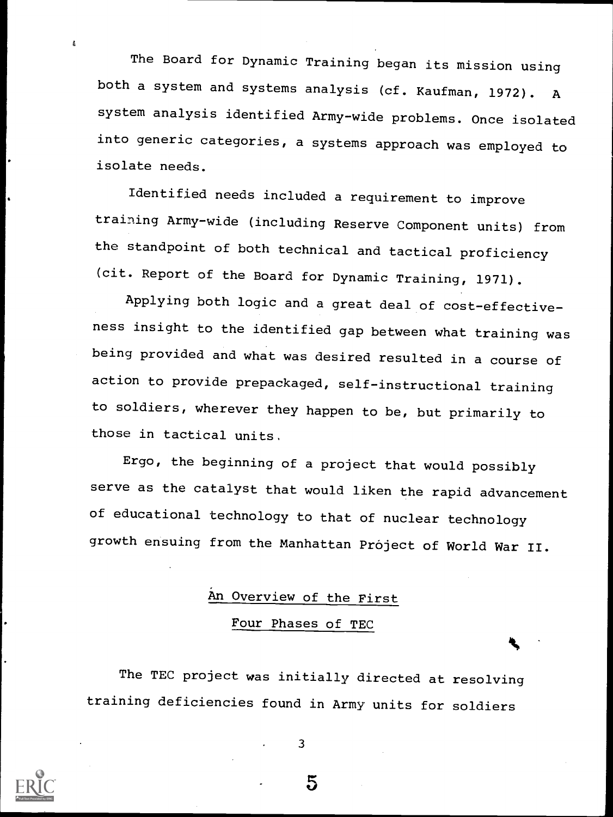The Board for Dynamic Training began its mission using both a system and systems analysis (cf. Kaufman, 1972). <sup>A</sup> system analysis identified Army-wide problems. Once isolated into generic categories, a systems approach was employed to isolate needs.

Identified needs included a requirement to improve training Army-wide (including Reserve Component units) from the standpoint of both technical and tactical proficiency (cit. Report of the Board for Dynamic Training, 1971).

Applying both logic and a great deal of cost-effectiveness insight to the identified gap between what training was being provided and what was desired resulted in a course of action to provide prepackaged, self-instructional training to soldiers, wherever they happen to be, but primarily to those in tactical units.

Ergo, the beginning of a project that would possibly serve as the catalyst that would liken the rapid advancement of educational technology to that of nuclear technology growth ensuing from the Manhattan Próject of World War II.

## An Overview of the First Four Phases of TEC

The TEC project was initially directed at resolving training deficiencies found in Army units for soldiers



å

3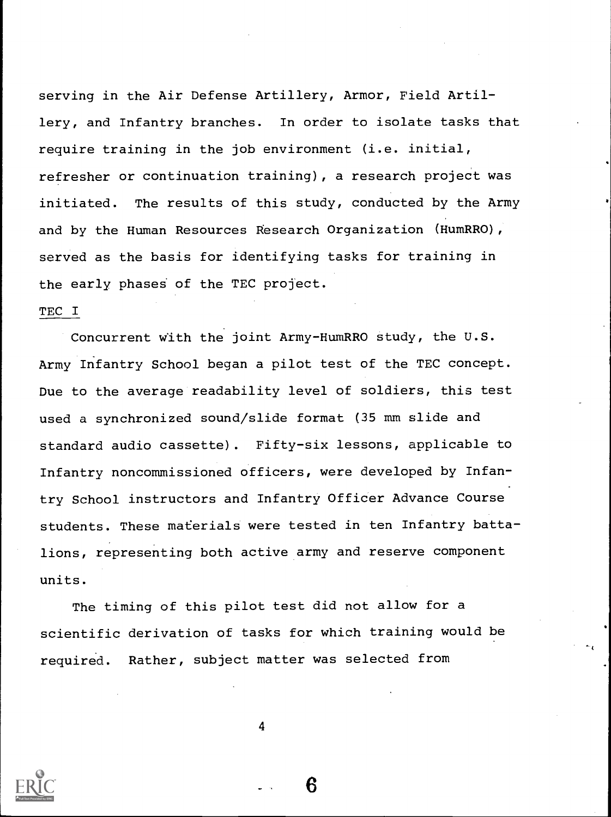serving in the Air Defense Artillery, Armor, Field Artillery, and Infantry branches. In order to isolate tasks that require training in the job environment (i.e. initial, refresher or continuation training), a research project was initiated. The results of this study, conducted by the Army and by the Human Resources Research Organization (HumRRO), served as the basis for identifying tasks for training in the early phases of the TEC project.

#### TEC I

Concurrent with the joint Army-HumRRO study, the U.S. Army Infantry School began a pilot test of the TEC concept. Due to the average readability level of soldiers, this test used a synchronized sound/slide format (35 mm slide and standard audio cassette). Fifty-six lessons, applicable to Infantry noncommissioned officers, were developed by Infantry School instructors and Infantry Officer Advance Course students. These materials were tested in ten Infantry battalions, representing both active army and reserve component units.

The timing of this pilot test did not allow for a scientific derivation of tasks for which training would be required. Rather, subject matter was selected from

4



Բ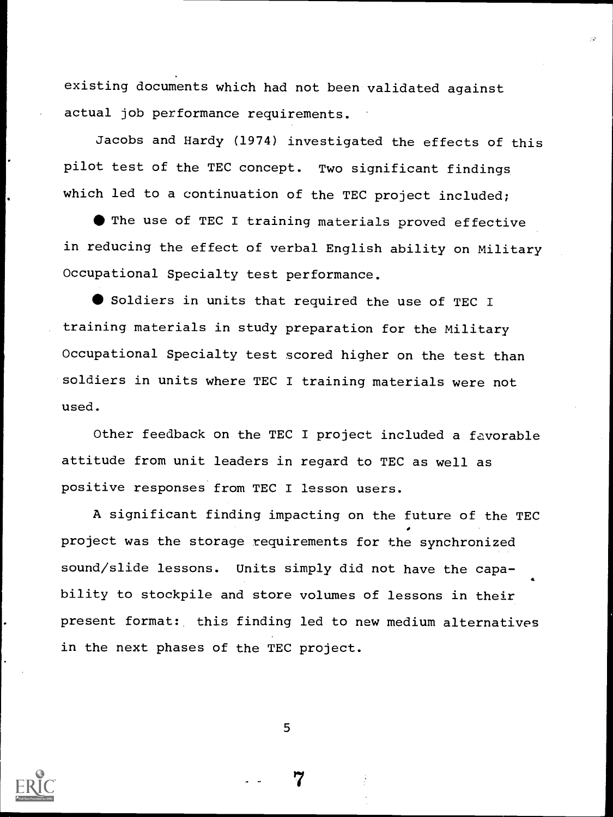existing documents which had not been validated against actual job performance requirements.

Jacobs and Hardy (1974) investigated the effects of this pilot test of the TEC concept. Two significant findings which led to a continuation of the TEC project included;

 $\bullet$  The use of TEC I training materials proved effective in reducing the effect of verbal English ability on Military Occupational Specialty test performance.

Soldiers in units that required the use of TEC I training materials in study preparation for the Military Occupational Specialty test scored higher on the test than soldiers in units where TEC I training materials were not used.

Other feedback on the TEC I project included a favorable attitude from unit leaders in regard to TEC as well as positive responses from TEC I lesson users.

A significant finding impacting on the future of the TEC project was the storage requirements for the synchronized sound/slide lessons. Units simply did not have the capability to stockpile and store volumes of lessons in their present format: this finding led to new medium alternatives in the next phases of the TEC project.

5

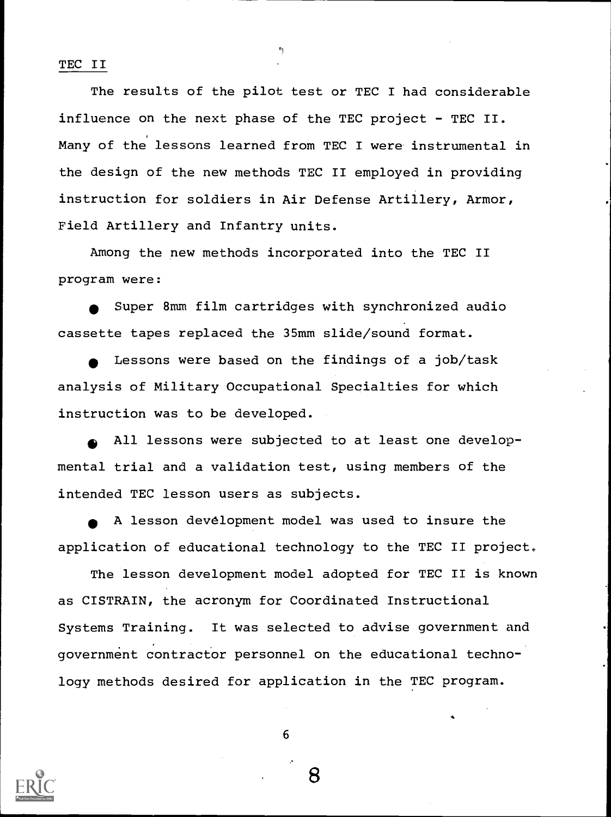TEC II

The results of the pilot test or TEC I had considerable influence on the next phase of the TEC project - TEC II. Many of the lessons learned from TEC I were instrumental in the design of the new methods TEC II employed in providing instruction for soldiers in Air Defense Artillery, Armor, Field Artillery and Infantry units.

Among the new methods incorporated into the TEC II program were:

Super 8mm film cartridges with synchronized audio cassette tapes replaced the 35mm slide/sound format.

Lessons were based on the findings of a job/task analysis of Military Occupational Specialties for which instruction was to be developed.

All lessons were subjected to at least one developmental trial and a validation test, using members of the intended TEC lesson users as subjects.

A lesson development model was used to insure the application of educational technology to the TEC II project.

The lesson development model adopted for TEC II is known as CISTRAIN, the acronym for Coordinated Instructional Systems Training. It was selected to advise government and government contractor personnel on the educational technology methods desired for application in the TEC program.



6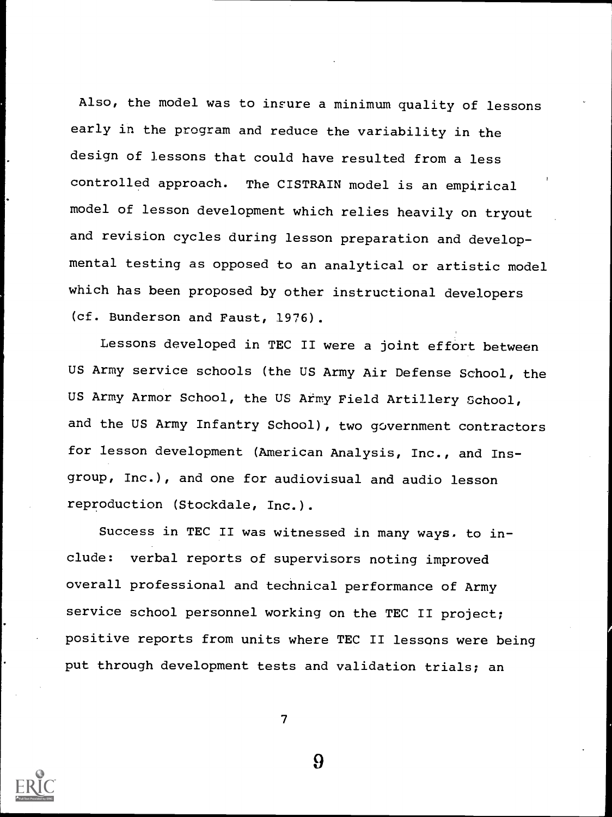Also, the model was to insure a minimum quality of lessons early in the program and reduce the variability in the design of lessons that could have resulted from a less controlled approach. The CISTRAIN model is an empirical model of lesson development which relies heavily on tryout and revision cycles during lesson preparation and developmental testing as opposed to an analytical or artistic model which has been proposed by other instructional developers (cf. Bunderson and Faust, 1976).

Lessons developed in TEC II were a joint effort between US Army service schools (the US Army Air Defense School, the US Army Armor School, the US Army Field Artillery School, and the US Army Infantry School), two government contractors for lesson development (American Analysis, Inc., and Insgroup, Inc.), and one for audiovisual and audio lesson reproduction (Stockdale, Inc.).

Success in TEC II was witnessed in many ways. to include: verbal reports of supervisors noting improved overall professional and technical performance of Army service school personnel working on the TEC II project; positive reports from units where TEC II lessons were being put through development tests and validation trials; an

7



<u>ዓ</u>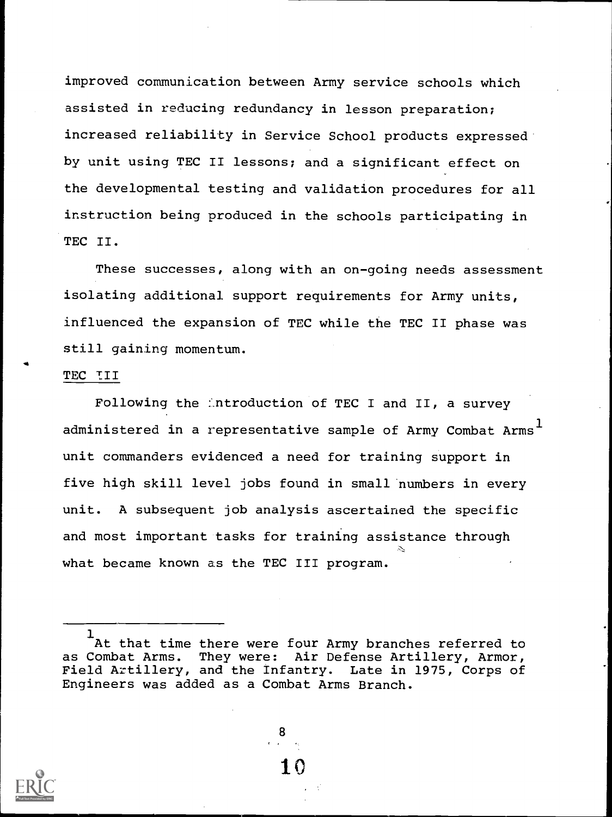improved communication between Army service schools which assisted in reducing redundancy in lesson preparation; increased reliability in Service School products expressed by unit using TEC II lessons; and a significant effect on the developmental testing and validation procedures for all instruction being produced in the schools participating in TEC II.

These successes, along with an on-going needs assessment isolating additional support requirements for Army units, influenced the expansion of TEC while the TEC II phase was still gaining momentum.

#### TEC TII

Following the introduction of TEC I and II, a survey administered in a representative sample of Army Combat Arms $^{\mathrm{1}}$ unit commanders evidenced a need for training support in five high skill level jobs found in small numbers in every unit. A subsequent job analysis ascertained the specific and most important tasks for training assistance through what became known as the TEC III program.

<sup>1</sup> At that time there were four Army branches referred to as Combat Arms. They were: Air Defense Artillery, Armor,<br>Field Artillery, and the Infantry. Late in 1975, Corps of Field Artillery, and the Infantry. Engineers was added as a Combat Arms Branch.

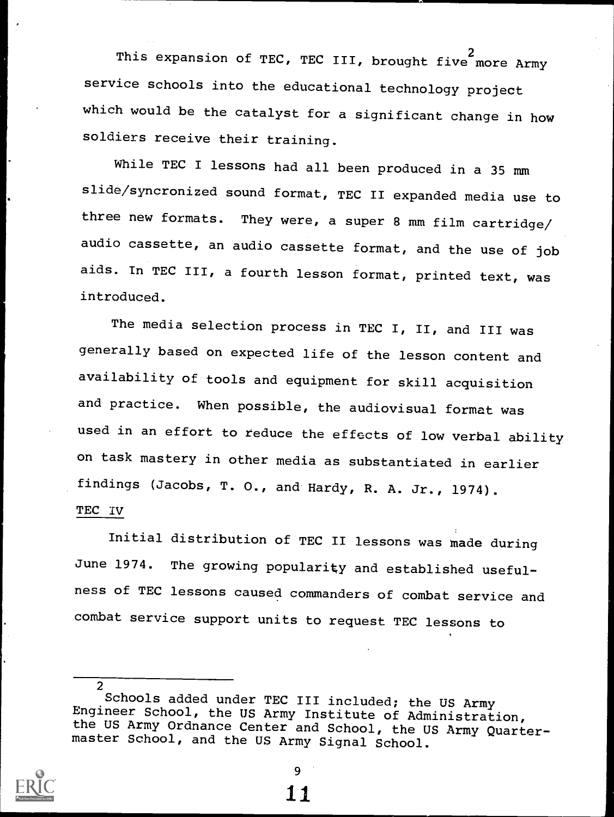This expansion of TEC, TEC III, brought five more Army service schools into the educational technology project which would be the catalyst for a significant change in how soldiers receive their training.

While TEC I lessons had all been produced in a 35 mm slide/syncronized sound format, TEC II expanded media use to three new formats. They were, a super 8 mm film cartridge/ audio cassette, an audio cassette format, and the use of job aids. In TEC III, a fourth lesson format, printed text, was introduced.

The media selection process in TEC I, II, and III was generally based on expected life of the lesson content and availability of tools and equipment for skill acquisition and practice. When possible, the audiovisual format was used in an effort to reduce the effects of low verbal ability on task mastery in other media as substantiated in earlier findings (Jacobs, T. 0., and Hardy, R. A. Jr., 1974). TEC IV

Initial distribution of TEC II lessons was made during June 1974. The growing popularity and established usefulness of TEC lessons caused commanders of combat service and combat service support units to request TEC lessons to

<sup>2</sup> Schools added under TEC III included; the US Army Engineer School, the US Army Institute of Administration, the US Army Ordnance Center and School, the US Army Quarter- master School, and the US Army Signal School.



9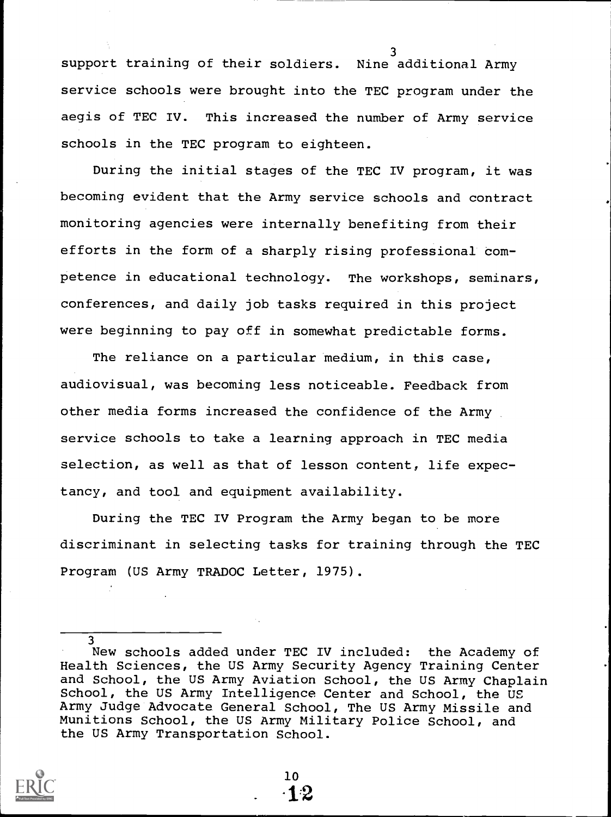3 support training of their soldiers. Nine additional Army service schools were brought into the TEC program under the aegis of TEC IV. This increased the number of Army service schools in the TEC program to eighteen.

During the initial stages of the TEC IV program, it was becoming evident that the Army service schools and contract monitoring agencies were internally benefiting from their efforts in the form of a sharply rising professional competence in educational technology. The workshops, seminars, conferences, and daily job tasks required in this project were beginning to pay off in somewhat predictable forms.

The reliance on a particular medium, in this case, audiovisual, was becoming less noticeable. Feedback from other media forms increased the confidence of the Army service schools to take a learning approach in TEC media selection, as well as that of lesson content, life expectancy, and tool and equipment availability.

During the TEC IV Program the Army began to be more discriminant in selecting tasks for training through the TEC Program (US Army TRADOC Letter, 1975).

<sup>3</sup> New schools added under TEC IV included: the Academy of Health Sciences, the US Army Security Agency Training Center and School, the US Army Aviation School, the US Army Chaplain School, the US Army Intelligence Center and School, the US Army Judge Advocate. General School, The US Army Missile and Munitions School, the US Army Military Police School, and the US Army Transportation School.

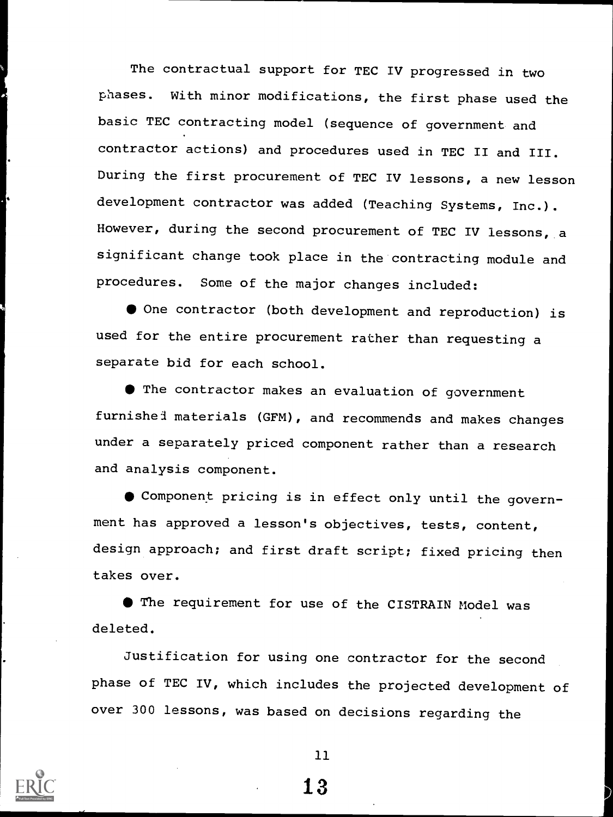The contractual support for TEC IV progressed in two phases. With minor modifications, the first phase used the basic TEC contracting model (sequence of government and contractor actions) and procedures used in TEC II and III. During the first procurement of TEC IV lessons, a new lesson development contractor was added (Teaching Systems, Inc.). However, during the second procurement of TEC IV lessons, a significant change took place in the contracting module and procedures. Some of the major changes included:

 $\bullet$  One contractor (both development and reproduction) is used for the entire procurement rather than requesting a separate bid for each school.

The contractor makes an evaluation of government furnishel materials (GFM), and recommends and makes changes under a separately priced component rather than a research and analysis component.

Component pricing is in effect only until the government has approved a lesson's objectives, tests, content, design approach; and first draft script; fixed pricing then takes over.

The requirement for use of the CISTRAIN Model was deleted.

Justification for using one contractor for the second phase of TEC IV, which includes the projected development of over 300 lessons, was based on decisions regarding the



11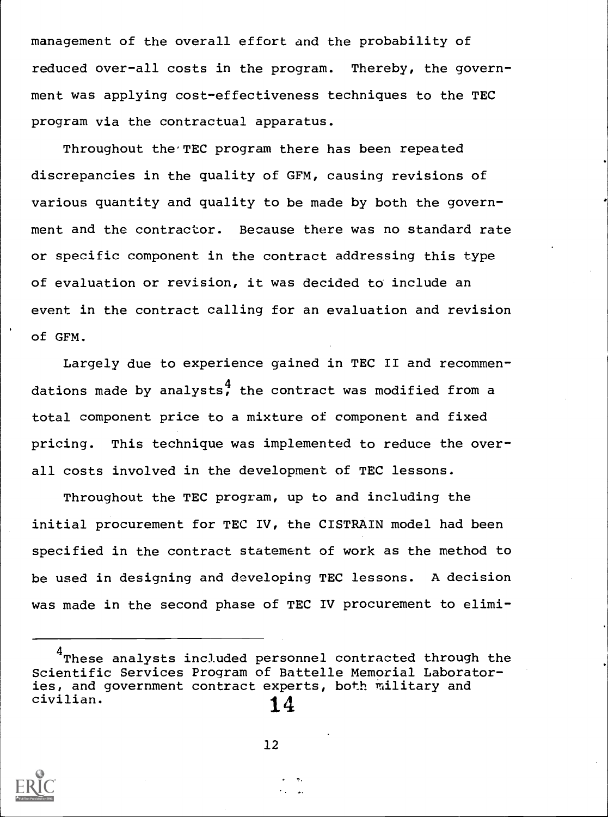management of the overall effort and the probability of reduced over-all costs in the program. Thereby, the government was applying cost-effectiveness techniques to the TEC program via the contractual apparatus.

Throughout the'TEC program there has been repeated discrepancies in the quality of GFM, causing revisions of various quantity and quality to be made by both the government and the contractor. Because there was no standard rate or specific component in the contract addressing this type of evaluation or revision, it was decided to include an event in the contract calling for an evaluation and revision of GFM.

Largely due to experience gained in TEC II and recommendations made by analysts, the contract was modified from a total component price to a mixture of component and fixed pricing. This technique was implemented to reduce the overall costs involved in the development of TEC lessons.

Throughout the TEC program, up to and including the initial procurement for TEC IV, the CISTRAIN model had been specified in the contract statement of work as the method to be used in designing and developing TEC lessons. A decision was made in the second phase of TEC IV procurement to elimi-

<sup>&</sup>lt;sup>4</sup>These analysts included personnel contracted through the Scientific Services Program of Battelle Memorial Laboratories, and government contract experts, both military and civilian.  $14$ 

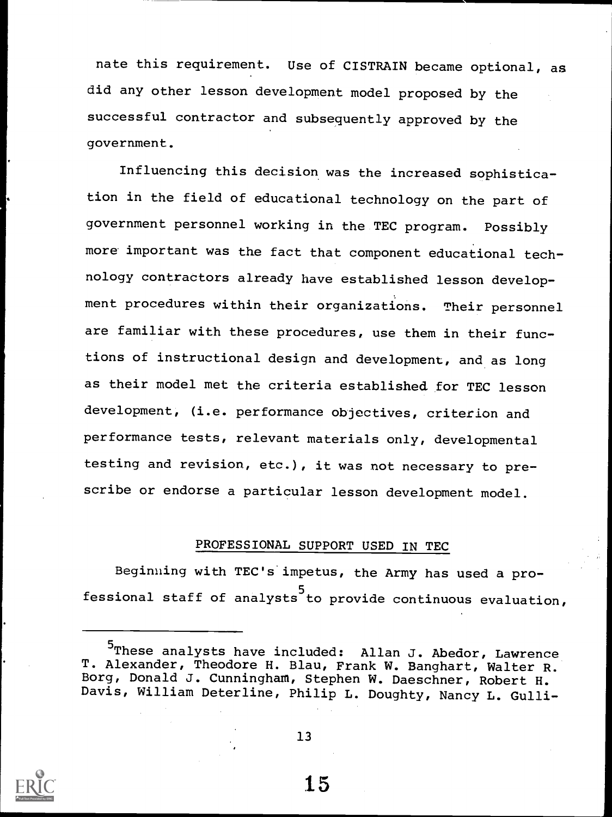nate this requirement. Use of CISTRAIN became optional, as did any other lesson development model proposed by the successful contractor and subsequently approved by the government.

Influencing this decision was the increased sophistication in the field of educational technology on the part of government personnel working in the TEC program. Possibly more important was the fact that component educational technology contractors already have established lesson development procedures within their organizations. Their personnel are familiar with these procedures, use them in their functions of instructional design and development, and as long as their model met the criteria established for TEC lesson development, (i.e. performance objectives, criterion and performance tests, relevant materials only, developmental testing and revision, etc.), it was not necessary to prescribe or endorse a particular lesson development model.

#### PROFESSIONAL SUPPORT USED IN TEC

Beginning with TEC's impetus, the Army has used a professional staff of analysts to provide continuous evaluation,  $\qquad \qquad$ 



13

<sup>5</sup>These analysts have included: Allan J. Abedor, Lawrence T. Alexander, Theodore H. Blau, Frank W. Banghart, Walter R. Borg, Donald J. Cunningham, Stephen W. Daeschner, Robert H. Davis, William Deterline, Philip L. Doughty, Nancy L. Gulli-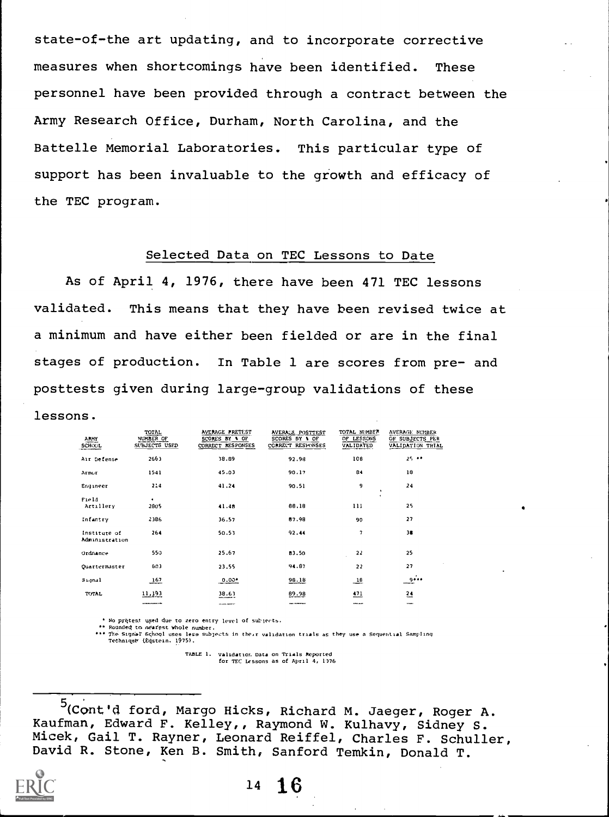state-of-the art updating, and to incorporate corrective measures when shortcomings have been identified. These personnel have been provided through a contract between the Army Research Office, Durham, North Carolina, and the Battelle Memorial Laboratories. This particular type of support has been invaluable to the growth and efficacy of the TEC program.

#### Selected Data on TEC Lessons to Date

As of April 4, 1976, there have been 471 TEC lessons validated. This means that they have been revised twice at a minimum and have either been fielded or are in the final stages of production. In Table 1 are scores from pre- and posttests given during large-group validations of these

#### lessons.

| <b>ARMY</b><br><b>SCHOOL</b>   | TOTAL.<br>NUMBER OF<br>SUBJECTS USED | AVERAGE PRETEST<br>SCORES BY \ OF<br>CORRECT RESPONSES | AVERAGE POSTTEST<br>SCORES BY \ OF<br>CORRECT RESPONSES | TOTAL NUMBER<br>OF LESSONS<br><b>VALIDATED</b> | <b>AVERAGE NUMBER</b><br>OF SUBJECTS PER<br>VALIDATION TRIAL |
|--------------------------------|--------------------------------------|--------------------------------------------------------|---------------------------------------------------------|------------------------------------------------|--------------------------------------------------------------|
| Air Defense                    | 2663                                 | 38.89                                                  | 92.98                                                   | 108                                            | $25 - 1$                                                     |
| Armor                          | 1541                                 | 45.03                                                  | 90.17                                                   | 84                                             | 18                                                           |
| Engineer                       | 214                                  | 41.24                                                  | 90.51                                                   | 9<br>٠                                         | 24                                                           |
| Field<br>Artillery             | 2805                                 | 41.48                                                  | 66.18                                                   | ٠<br>111                                       | 25                                                           |
| Infantry                       | 2386                                 | 36.57                                                  | 87.98                                                   | 90                                             | 27                                                           |
| Institute of<br>Administration | 264                                  | 50.53                                                  | 92.44                                                   | 7                                              | 38                                                           |
| Ordnance                       | 550                                  | 25.67                                                  | 83.50                                                   | 22                                             | 25                                                           |
| Quartermaster                  | 603                                  | 23.55                                                  | 94.87                                                   | 22                                             | 27                                                           |
| Signal                         | 167                                  | $0.00$ <sup>*</sup>                                    | 98.18                                                   | $-18$                                          | وووو                                                         |
| TOTAL                          | 11,193                               | 38.63<br><b>COLORADO PROTECTO</b>                      | 89.98                                                   | 471<br>----                                    | $\frac{24}{2}$                                               |

No pritest used due to zero entry level of subjects.<br>Rounded to ngarest whole number.<br>The Signal School uses less subjects in their validation trials as they use a Sequential Sampling<br>Technique (Eqstein. 1975).

TABLE 1. Validatior. Data on Trials Reported for TEC Lessons as of April 4, 1)76

<sup>5</sup>(Cont'd ford, Margo Hicks, Richard M. Jaeger, Roger A. Kaufman, Edward F. Kelley,, Raymond W. Kulhavy, Sidney S. Micek, Gail T. Rayner, Leonard Reiffel, Charles F. Schuller, David R. Stone, Ken B. Smith, Sanford Temkin, Donald T.



<sup>14</sup> 16

au.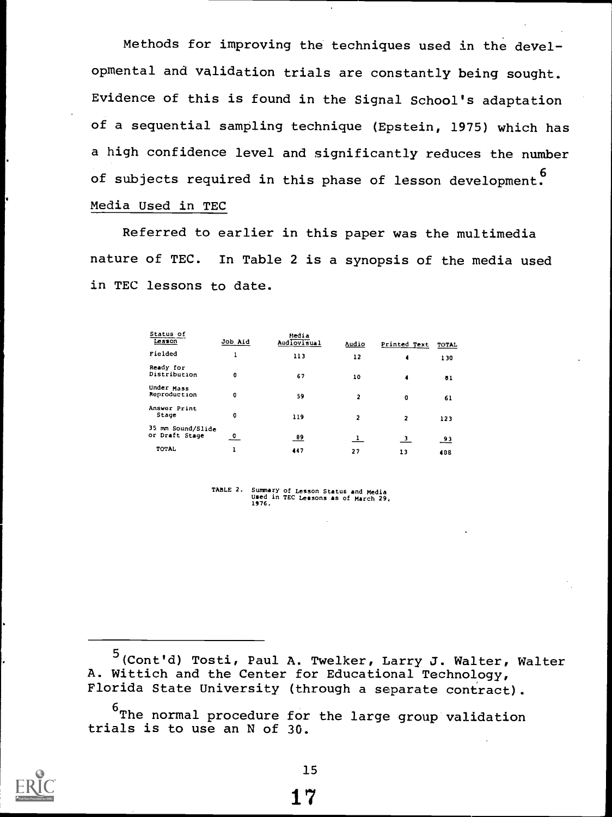Methods for improving the techniques used in the developmental and validation trials are constantly being sought. Evidence of this is found in the Signal School's adaptation of a sequential sampling technique (Epstein, 1975) which has a high confidence level and significantly reduces the number of subjects required in this phase of lesson development Media Used in TEC

Referred to earlier in this paper was the multimedia nature of TEC. In Table 2 is a synopsis of the media used in TEC lessons to date.

| Status of<br>Lesson                    | Job Aid    | Hedia<br>Audiovisual | Audio          | Printed Text            | <b>TOTAL</b>    |  |
|----------------------------------------|------------|----------------------|----------------|-------------------------|-----------------|--|
| Fielded                                |            | 113                  | 12             | 4                       | 130             |  |
| Ready for<br>Distribution              | o          | 67                   | 10             | 4                       | 81              |  |
| Under Mass<br>Reproduction             | o          | 59                   | 2              | O                       | 61              |  |
| Answer Print<br>Stage                  | o          | 119                  | $\overline{2}$ | $\overline{2}$          | 123             |  |
| 35<br>mm Sound/Slide<br>or Draft Stage | 0<br>----- | $\frac{89}{1}$       | $\mathbf{1}$   | $\overline{\mathbf{3}}$ | $\overline{93}$ |  |
| TOTAL                                  | ı          | 447                  | 27             | 13                      | 488             |  |

TABLE 2. Summary of Lesson Status and Media Used in TEC Lessons as of March 29, 1976.

<sup>5</sup> (Cont'd) Tosti, Paul A. Twelker, Larry J. Walter, Walter A. Wittich and the Center for Educational Technology, Florida State University (through a separate contract).

 $6$ The normal procedure for the large group validation trials is to use an N of 30.

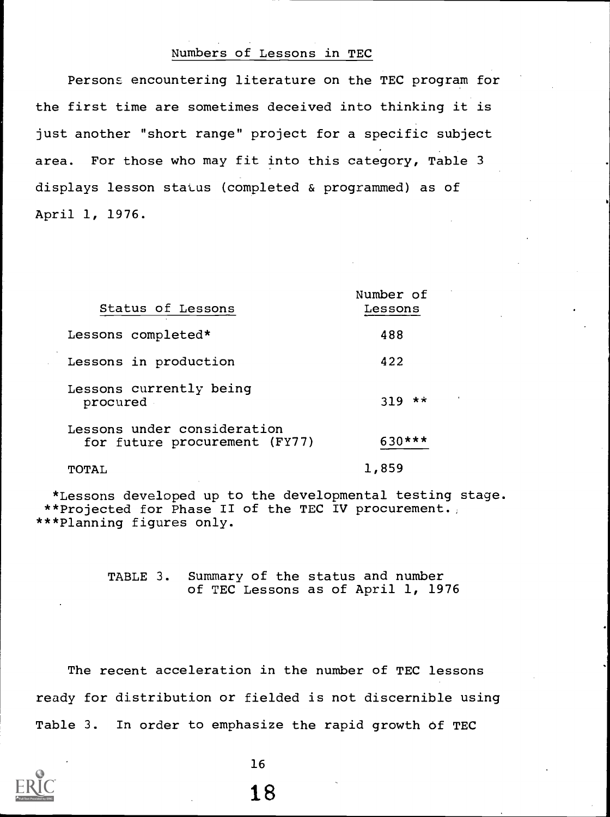## Numbers of Lessons in TEC

Persons encountering literature on the TEC program for the first time are sometimes deceived into thinking it is just another "short range" project for a specific subject area. For those who may fit into this category, Table 3 displays lesson status (completed & programmed) as of April 1, 1976.

| Status of Lessons                                            | Number of<br>Lessons |
|--------------------------------------------------------------|----------------------|
| Lessons completed*                                           | 488                  |
| Lessons in production                                        | 422                  |
| Lessons currently being<br>procured                          | $319$ **             |
| Lessons under consideration<br>for future procurement (FY77) | 630***               |
| TOTAL                                                        | 1,859                |

\*Lessons developed up to the developmental testing stage. \*\*Projected for Phase II of the TEC IV procurement. \*\*\*Planning figures only.

> TABLE 3. Summary of the status and number of TEC Lessons as of April 1, 1976

The recent acceleration in the number of TEC lessons ready for distribution or fielded is not discernible using Table 3. In order to emphasize the rapid growth of TEC



16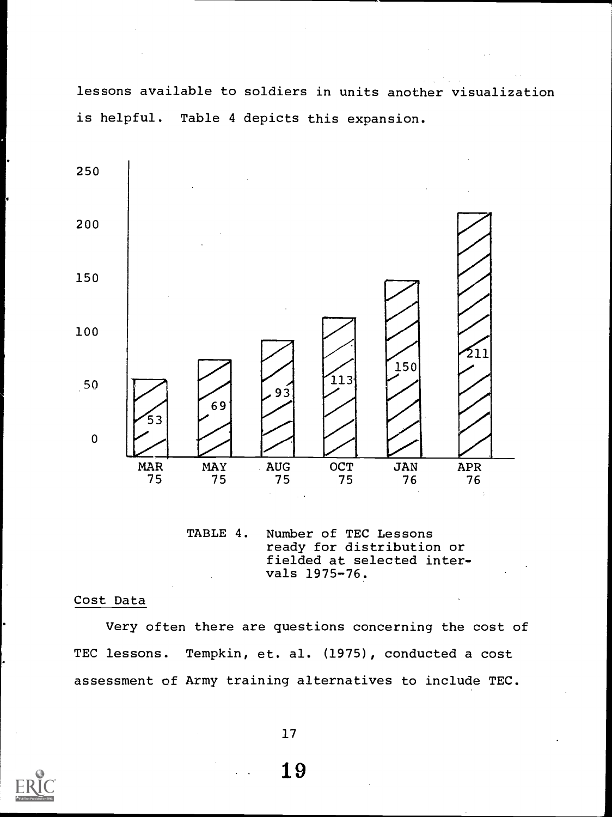lessons available to soldiers in units another visualization is helpful. Table 4 depicts this expansion.



TABLE 4. Number of TEC Lessons ready for distribution or fielded at selected intervals 1975-76.

#### Cost Data

Very often there are questions concerning the cost of TEC lessons. Tempkin, et. al. (1975), conducted a cost assessment of Army training alternatives to include TEC.

17

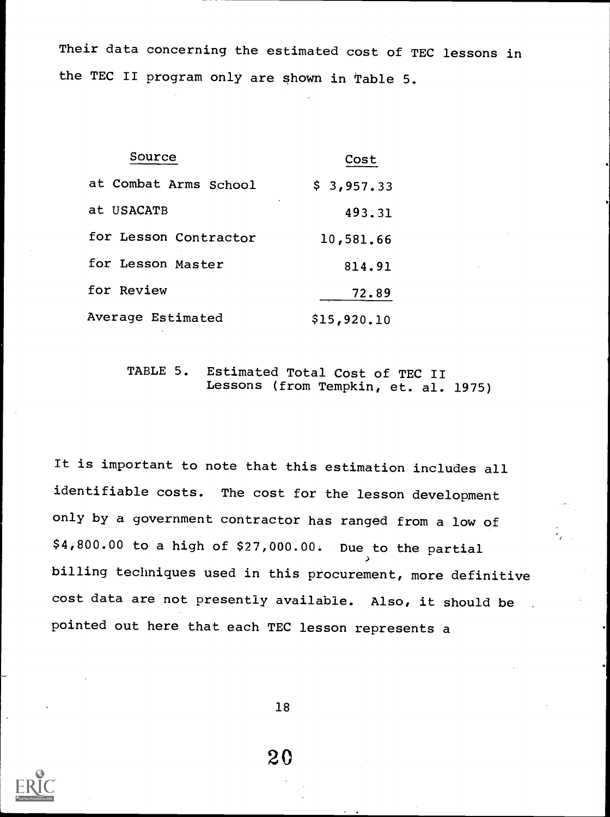Their data concerning the estimated cost of TEC lessons in the TEC II program only are shown in Table 5.

| Source                | Cost        |
|-----------------------|-------------|
| at Combat Arms School | \$3,957.33  |
| at USACATB            | ٠<br>493.31 |
| for Lesson Contractor | 10,581.66   |
| for Lesson Master     | 814.91      |
| for Review            | 72.89       |
| Average Estimated     | \$15,920.10 |

## TABLE 5. Estimated Total Cost of TEC II Lessons (from Tempkin, et. al. 1975)

It is important to note that this estimation includes all identifiable costs. The cost for the lesson development only by a government contractor has ranged from a low of \$4,800.00 to a high of \$27,000.00. Due to the partial billing techniques used in this procurement, more definitive cost data are not presently available. Also, it should be pointed out here that each TEC lesson represents a

18

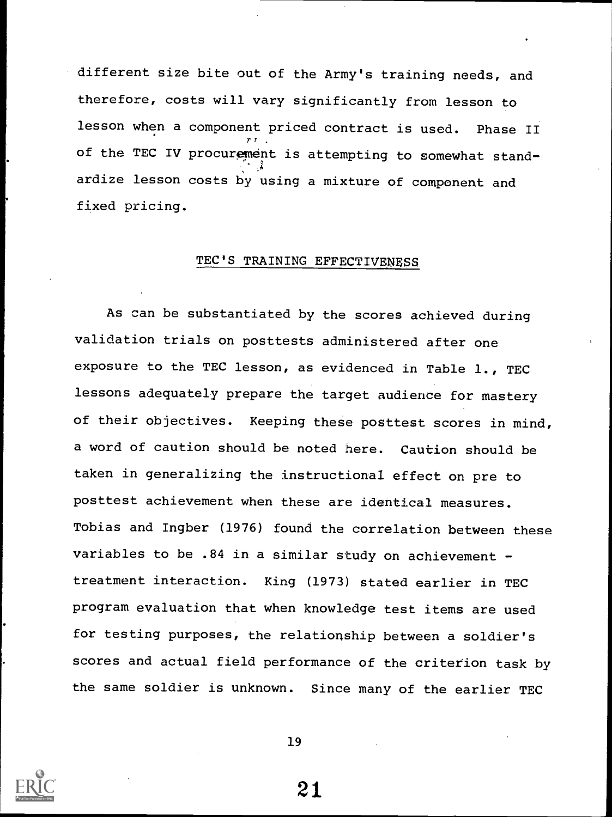different size bite out of the Army's training needs, and therefore, costs will vary significantly from lesson to lesson when a component priced contract is used. Phase II of the TEC IV procurement is attempting to somewhat standardize lesson costs by using a mixture of component and fixed pricing.

#### TEC'S TRAINING EFFECTIVENESS

As can be substantiated by the scores achieved during validation trials on posttests administered after one exposure to the TEC lesson, as evidenced in Table 1., TEC lessons adequately prepare the target audience for mastery of their objectives. Keeping these posttest scores in mind, a word of caution should be noted here. Caution should be taken in generalizing the instructional effect on pre to posttest achievement when these are identical measures. Tobias and Ingber (1976) found the correlation between these variables to be .84 in a similar study on achievement treatment interaction. King (1973) stated earlier in TEC program evaluation that when knowledge test items are used for testing purposes, the relationship between a soldier's scores and actual field performance of the criterion task by the same soldier is unknown. Since many of the earlier TEC



19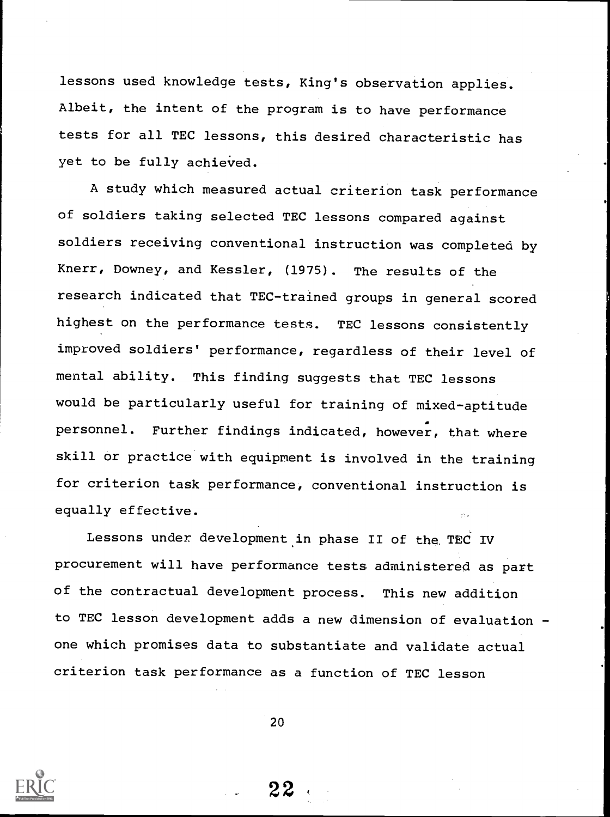lessons used knowledge tests, King's observation applies. Albeit, the intent of the program is to have performance tests for all TEC lessons, this desired characteristic has yet to be fully achieved.

A study which measured actual criterion task performance of soldiers taking selected TEC lessons compared against soldiers receiving conventional instruction was completed by Knerr, Downey, and Kessler, (1975). The results of the research indicated that TEC-trained groups in general scored highest on the performance tests. TEC lessons consistently improved soldiers' performance, regardless of their level of mental ability. This finding suggests that TEC lessons would be particularly useful for training of mixed-aptitude personnel. Further findings indicated, however, that where skill or practice with equipment is involved in the training for criterion task performance, conventional instruction is equally effective.

Lessons under development in phase II of the, TEC IV procurement will have performance tests administered as part of the contractual development process. This new addition to TEC lesson development adds a new dimension of evaluation one which promises data to substantiate and validate actual criterion task performance as a function of TEC lesson

20

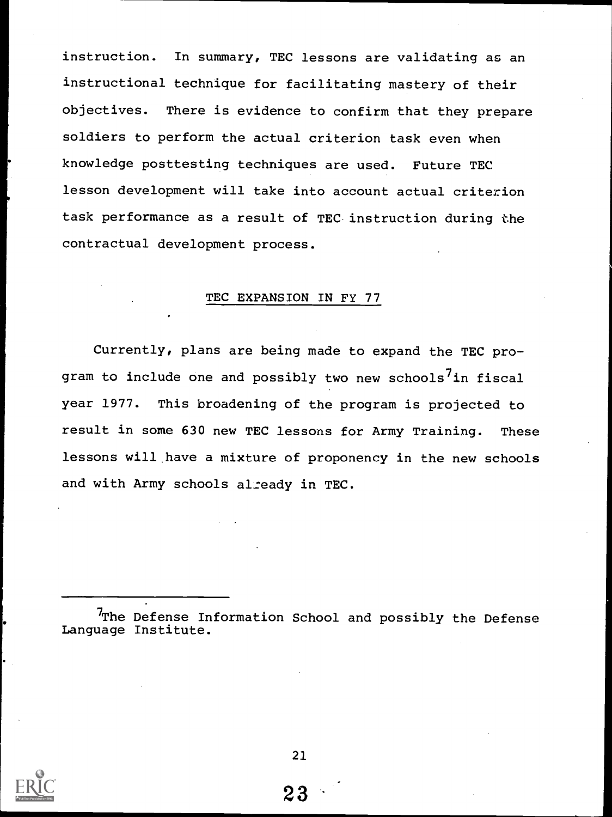instruction. In summary, TEC lessons are validating as an instructional technique for facilitating mastery of their objectives. There is evidence to confirm that they prepare soldiers to perform the actual criterion task even when knowledge posttesting techniques are used. Future TEC lesson development will take into account actual criterion task performance as a result of TEC instruction during the contractual development process.

#### TEC EXPANSION IN FY 77

Currently, plans are being made to expand the TEC program to include one and possibly two new schools<sup>7</sup>in fiscal year 1977. This broadening of the program is projected to result in some 630 new TEC lessons for Army Training. These lessons will.have a mixture of proponency in the new schools and with Army schools already in TEC.

<sup>7</sup>The Defense Information School and possibly the Defense Language Institute.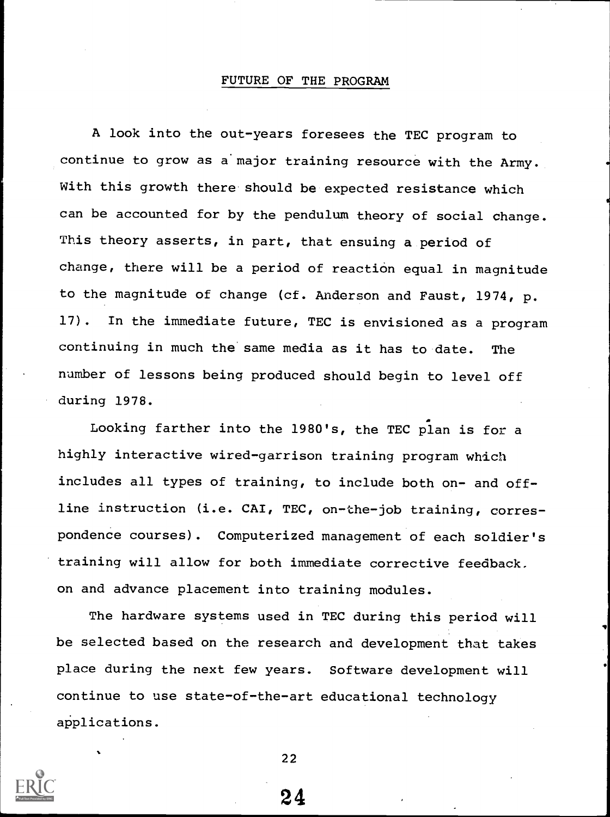#### FUTURE OF THE PROGRAM

A look into the out-years foresees the TEC program to continue to grow as a major training resource with the Army. With this growth there should be expected resistance which can be accounted for by the pendulum theory of social change. This theory asserts, in part, that ensuing a period of change, there will be a period of reaction equal in magnitude to the magnitude of change (cf. Anderson and Faust, 1974, p. 17). In the immediate future, TEC is envisioned as a program continuing in much the same media as it has to date. The number of lessons being produced should begin to level off during 1978.

Looking farther into the 1980's, the TEC plan is for a highly interactive wired-garrison training program which includes all types of training, to include both on- and offline instruction (i.e. CAI, TEC, on-the-job training, correspondence courses). Computerized management of each soldier's training will allow for both immediate corrective feedback. on and advance placement into training modules.

The hardware systems used in TEC during this period will be selected based on the research and development that takes place during the next few years. Software development will continue to use state-of-the-art educational technology applications.



22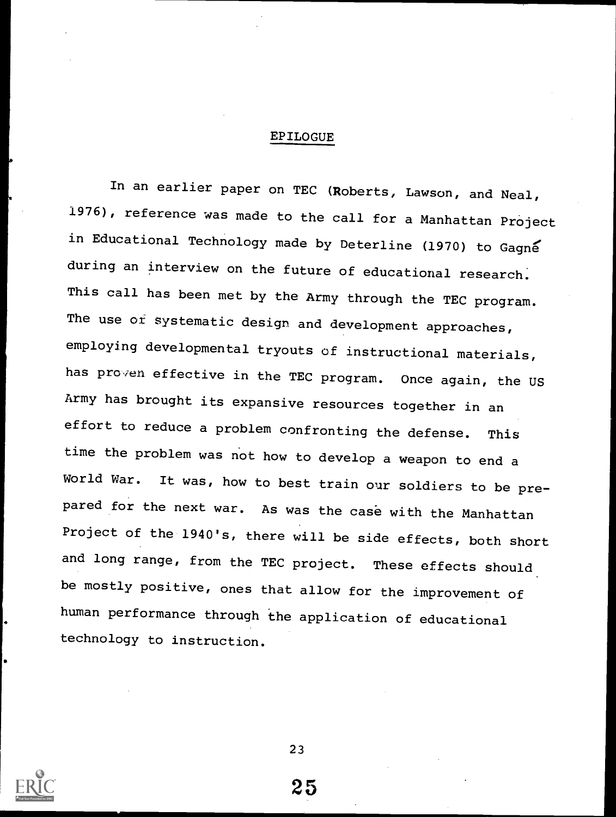#### EPILOGUE

In an earlier paper on TEC (Roberts, Lawson, and. Neal, 1976), reference was made to the call for a Manhattan Project in Educational Technology made by Deterline (1970) to Gagng during an interview on the future of educational research. This call has been met by the Army through the TEC program. The use of systematic design and development approaches, employing developmental tryouts of instructional materials, has proven effective in the TEC program. Once again, the US Army has brought its expansive resources together in an effort to reduce a problem confronting the defense. This time the problem was not how to develop a weapon to end a World War. It was, how to best train our soldiers to be prepared for the next war. As was the case with the Manhattan Project of the 1940's, there will be side effects, both short and long range, from the TEC project. These effects should be mostly positive, ones that allow for the improvement of human performance through the application of educational technology to instruction.

23

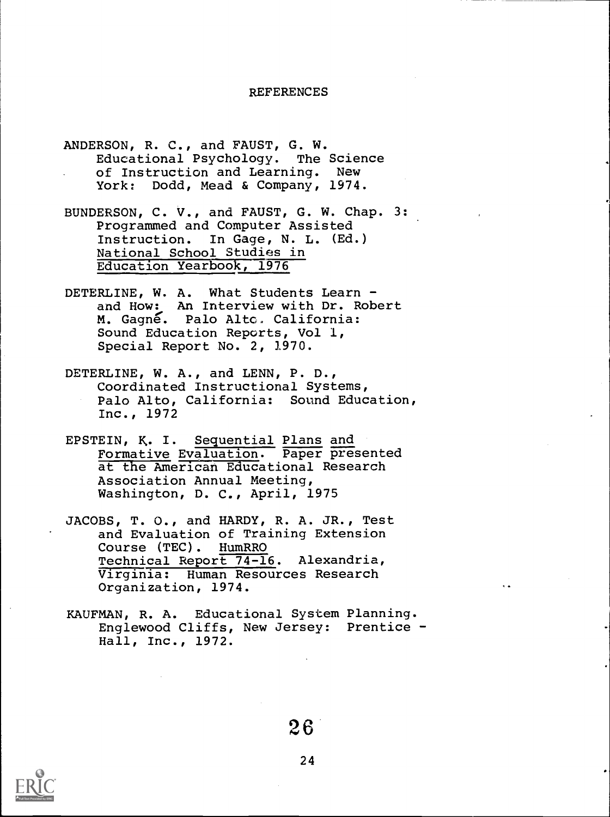#### REFERENCES

- ANDERSON, R. C., and FAUST, G. W. Educational Psychology. The Science of Instruction and Learning. New York: Dodd, Mead & Company, 1974.
- BUNDERSON, C. V., and FAUST, G. W. Chap. 3: Programmed and Computer Assisted Instruction. In Gage, N. L. (Ed.) National School Studies in Education Yearbook, 1976
- DETERLINE, W. A. What Students Learn and How: An Interview with Dr. Robert M. Gagne. Palo Alto. California: Sound Education Reports, Vol 1, Special Report No. 2, 1970.
- DETERLINE, W. A., and LENN, P. D., Coordinated Instructional Systems, Palo Alto, California: Sound Education, Inc., 1972
- EPSTEIN, K. I. Sequential Plans and Formative Evaluation. Paper presented at the American Educational Research Association Annual Meeting, Washington, D. C., April, 1975
- JACOBS, T. O., and HARDY, R. A. JR., Test and Evaluation of Training Extension Course (TEC). HumRRO Technical Report 74-16. Alexandria, Virginia: Human Resources Research Organization, 1974.
- KAUFMAN, R. A. Educational System Planning. Englewood Cliffs, New Jersey: Prentice - Hall, Inc., 1972.

26

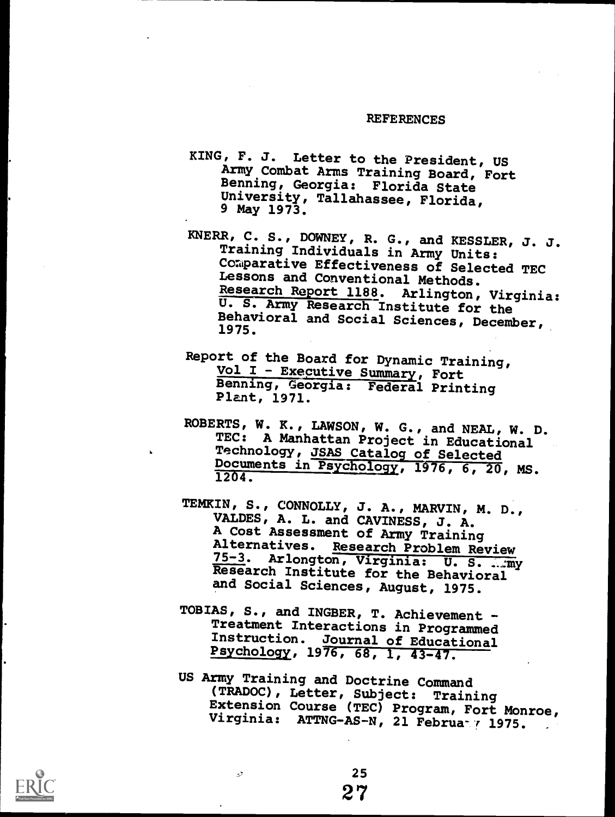#### REFERENCES

- KING, F. J. Letter to the President, US Army Combat Arms Training Board, Fort Benning, Georgia: Florida State University, Tallahassee, Florida, 9 May 1973.
- KNERR, C. S., DOWNEY, R. G., and KESSLER, J. J. Training Individuals in Army Units: Comparative Effectiveness of Selected TEC Lessons and Conventional Methods. Research Report 1188. Arlington, Virginia: U. S. Army Research Institute for the Behavioral and Social Sciences, December, 1975.
- Report of the Board for Dynamic Training,<br>Vol I Executive Summary, Fort Benning, Georgia: Federal Printing Plant, 1971.
- ROBERTS, W. K., LAWSON, W. G., and NEAL, W. D. TEC: A Manhattan Project in Educational Technology, JSAS Catalog of Selected Documents in Psychology, 1976, 6, 20, MS. 1204.
- TEMKIN, S., CONNOLLY, J. A., MARVIN, M. D., VALDES, A. L. and CAVINESS, J. A. A Cost Assessment of Army Training Alternatives. Research Problem Review<br>75-3. Arlongton, Virginia: U.S. ... my Research Institute for the Behavioral and Social Sciences, August, 1975.
- TOBIAS, S., and INGBER, T. Achievement Treatment Interactions in Programmed Instruction. Journal of Educational Psychology, 1976, 68, 1, 43-47.
- US Army Training and Doctrine Command (TRADOC), Letter, Subject: Training Extension Course (TEC) Program, Fort Monroe, Virginia: ATTNG-AS-N, 21 Februa / 1975.

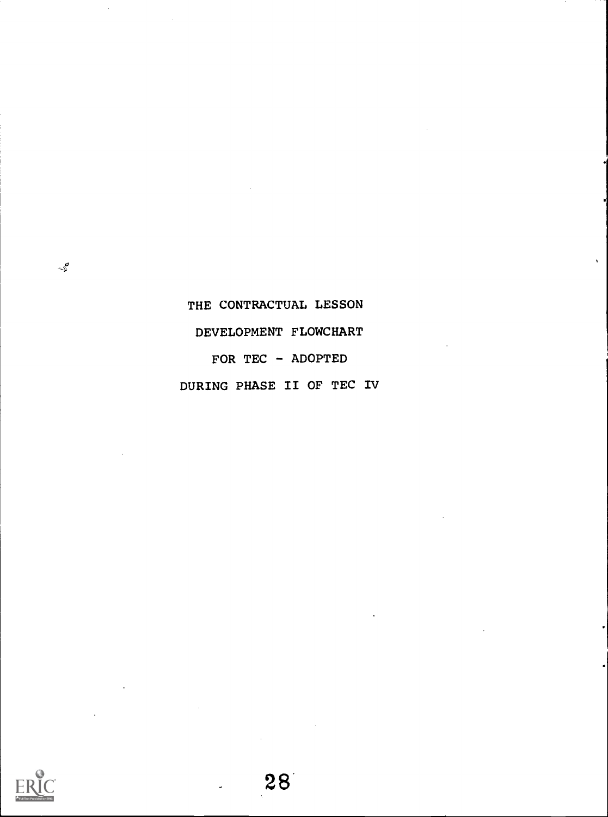# THE CONTRACTUAL LESSON DEVELOPMENT FLOWCHART FOR TEC - ADOPTED DURING PHASE II OF TEC IV



 $\mathcal{L}^{\mathcal{G}}$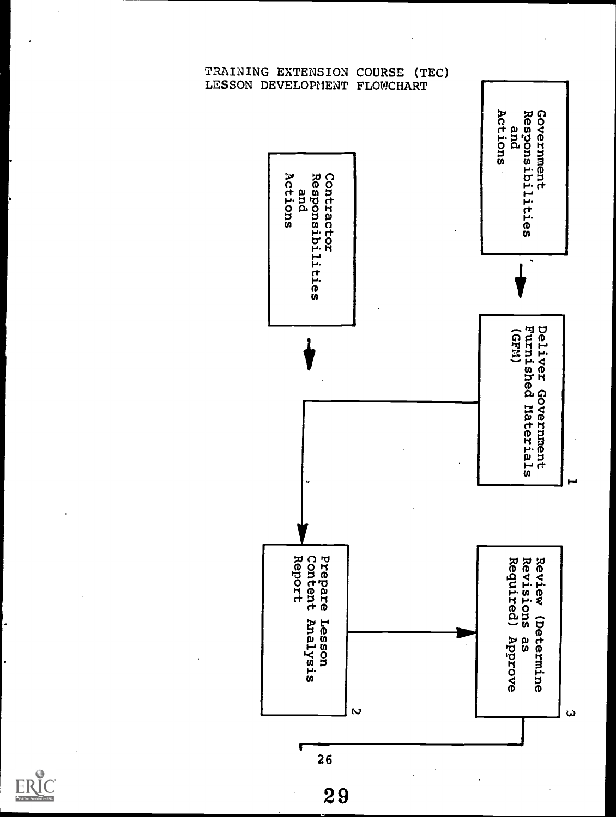

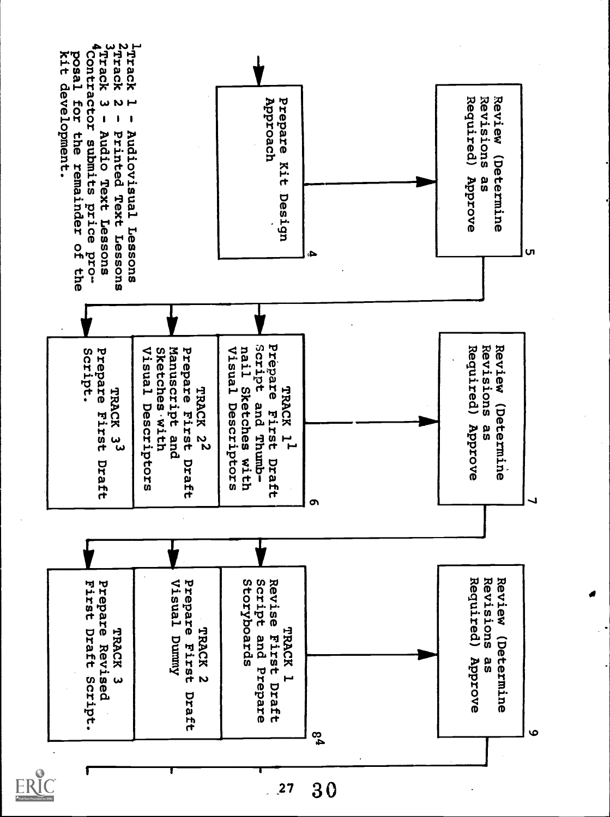

 $30$  $\frac{1}{27}$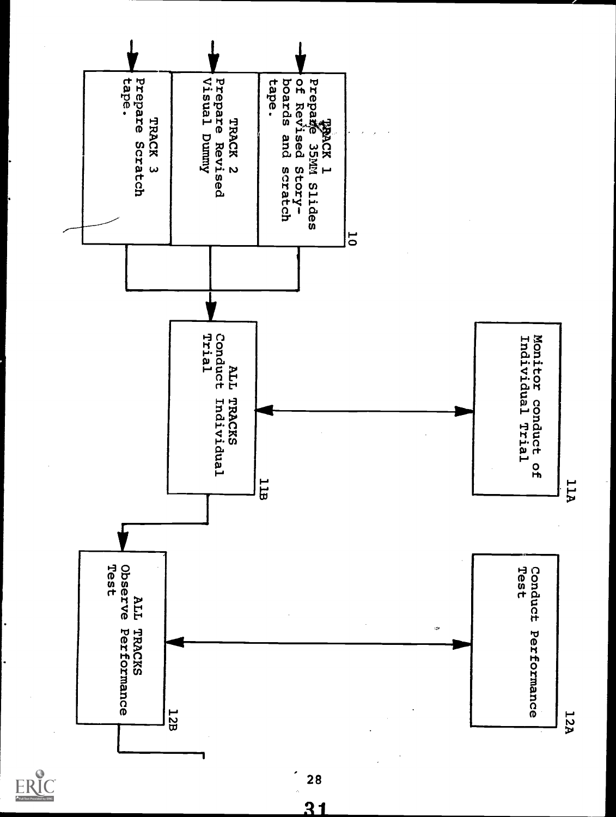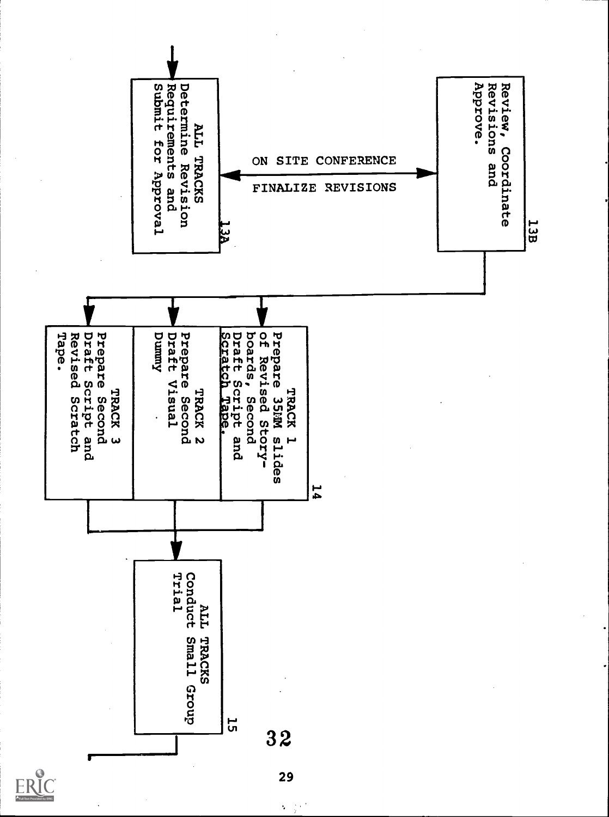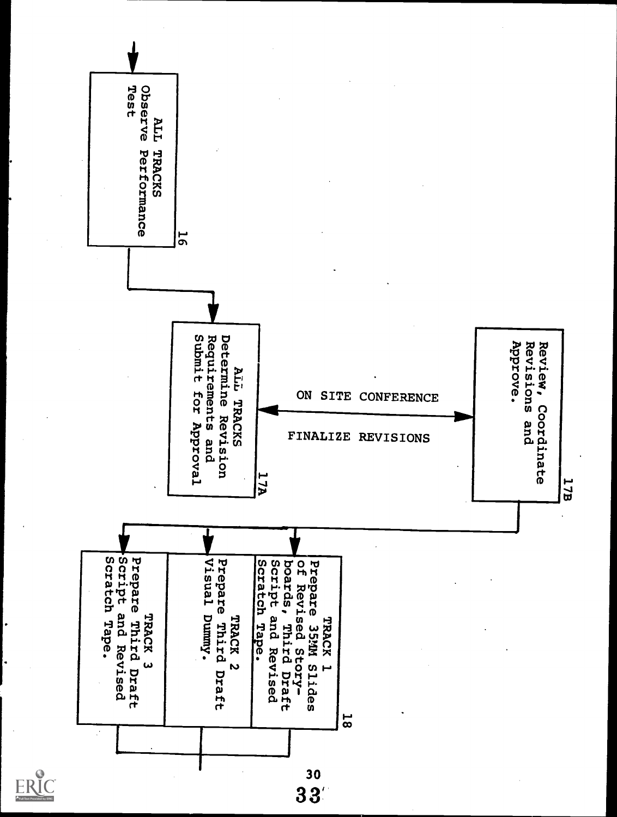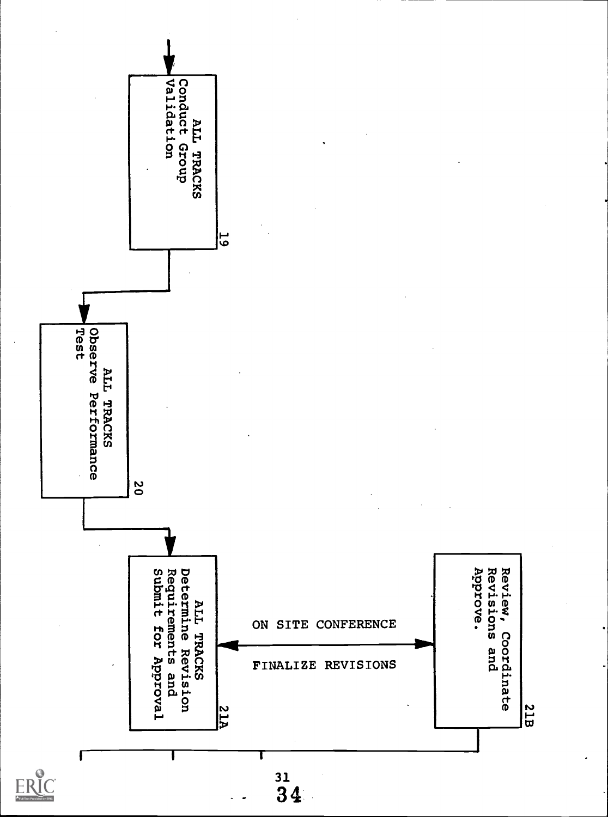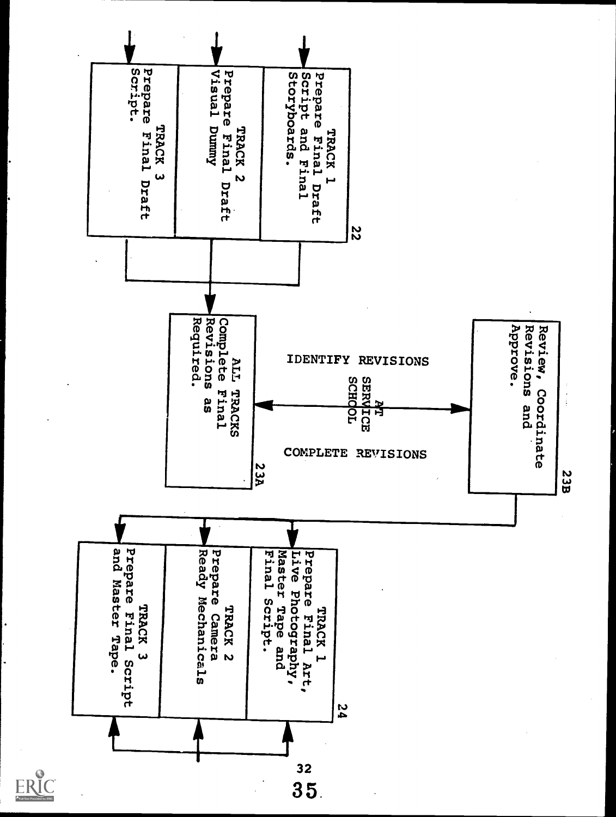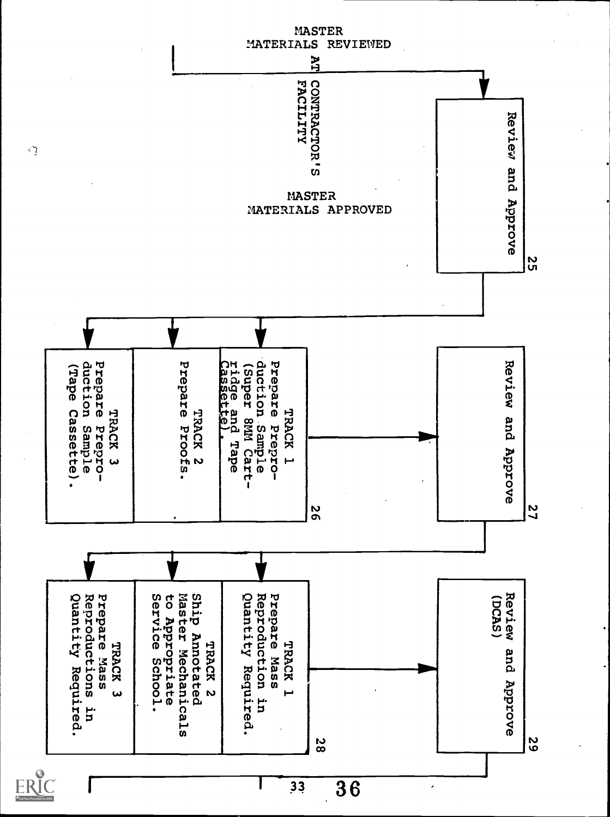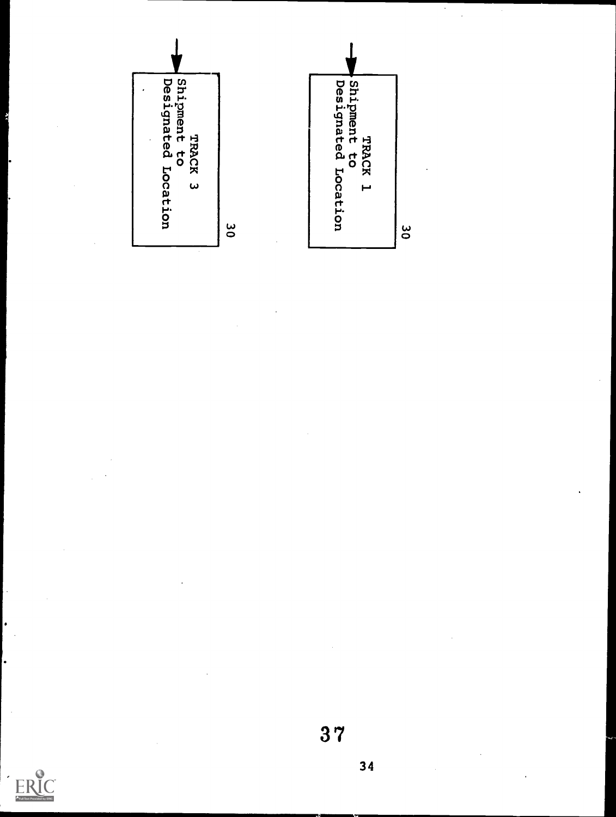



 $\cdot$  $\ddot{\phantom{a}}$ 

34



 $\frac{1}{2}$ 

 $\bullet$ 

.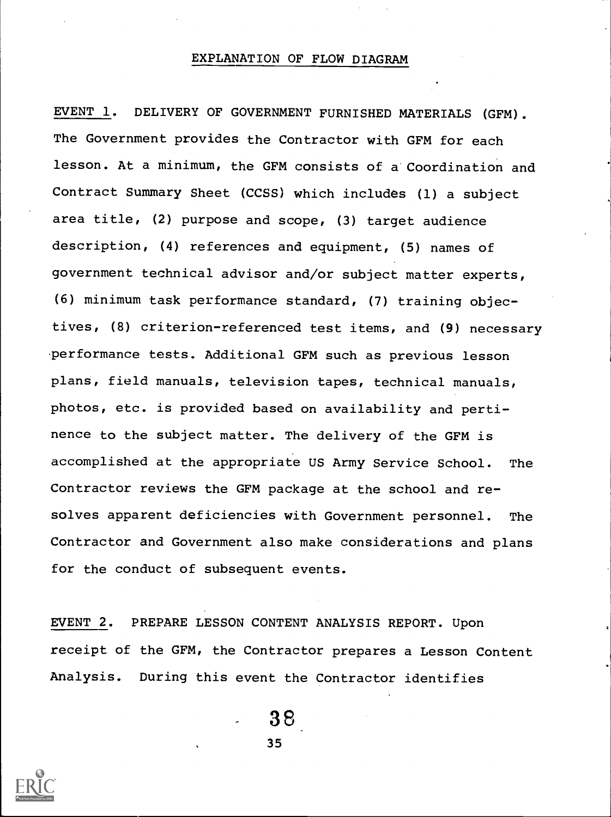#### EXPLANATION OF FLOW DIAGRAM

EVENT 1. DELIVERY OF GOVERNMENT FURNISHED MATERIALS (GFM). The Government provides the Contractor with GFM for each lesson. At a minimum, the GFM consists of a Coordination and Contract Summary Sheet (CCSS) which includes (1) a subject area title, (2) purpose and scope, (3) target audience description, (4) references and equipment, (5) names of government technical advisor and/or subject matter experts, (6) minimum task performance standard, (7) training objectives, (8) criterion-referenced test items, and (9) necessary performance tests. Additional GFM such as previous lesson plans, field manuals, television tapes, technical manuals, photos, etc. is provided based on availability and pertinence to the subject matter. The delivery of the GFM is accomplished at the appropriate US Army Service School. The Contractor reviews the GFM package at the school and resolves apparent deficiencies with Government personnel. The Contractor and Government also make considerations and plans for the conduct of subsequent events.

EVENT 2. PREPARE LESSON CONTENT ANALYSIS REPORT. Upon receipt of the GFM, the Contractor prepares a Lesson Content Analysis. During this event the Contractor identifies

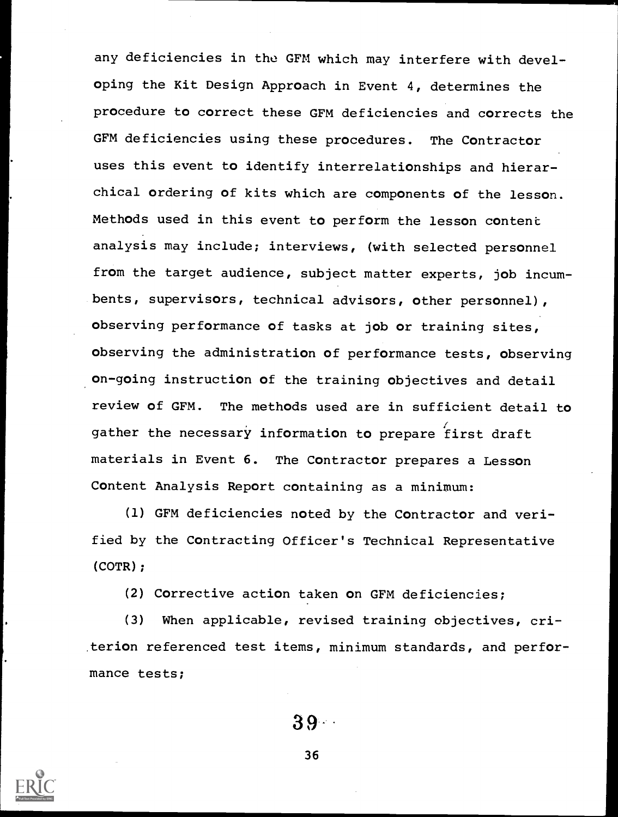any deficiencies in the GFM which may interfere with developing the Kit Design Approach in Event 4, determines the procedure to correct these GFM deficiencies and corrects the GFM deficiencies using these procedures. The Contractor uses this event to identify interrelationships and hierarchical ordering of kits which are components of the lesson. Methods used in this event to perform the lesson content analysis may include; interviews, (with selected personnel from the target audience, subject matter experts, job incumbents, supervisors, technical advisors, other personnel), observing performance of tasks at job or training sites, observing the administration of performance tests, observing on-going instruction of the training objectives and detail review of GFM. The methods used are in sufficient detail to gather the necessary information to prepare first draft materials in Event 6. The Contractor prepares a Lesson Content Analysis Report containing as a minimum:

(1) GFM deficiencies noted by the Contractor and verified by the Contracting Officer's Technical Representative (COTR);

(2) Corrective action taken on GFM deficiencies;

(3) When applicable, revised training objectives, criterion referenced test items, minimum standards, and performance tests;

39-

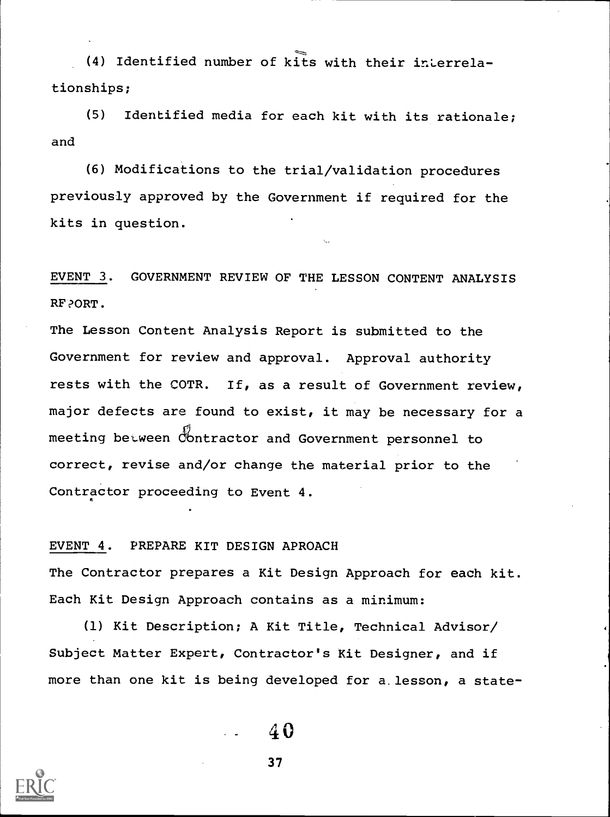(4) Identified number of kits with their interrelationships;

(5) Identified media for each kit with its rationale; and

(6) Modifications to the trial/validation procedures previously approved by the Government if required for the kits in question.

EVENT 3. GOVERNMENT REVIEW OF THE LESSON CONTENT ANALYSIS RF?ORT.

The Lesson Content Analysis Report is submitted to the Government for review and approval. Approval authority rests with the COTR. If, as a result of Government review, major defects are found to exist, it may be necessary for a meeting between Contractor and Government personnel to correct, revise and/or change the material prior to the Contractor proceeding to Event 4.

#### EVENT 4. PREPARE KIT DESIGN APROACH

The Contractor prepares a Kit Design Approach for each kit. Each Kit Design Approach contains as a minimum:

(1) Kit Description; A Kit Title, Technical Advisor/ Subject Matter Expert, Contractor's Kit Designer, and if more than one kit is being developed for a. lesson, a state-



40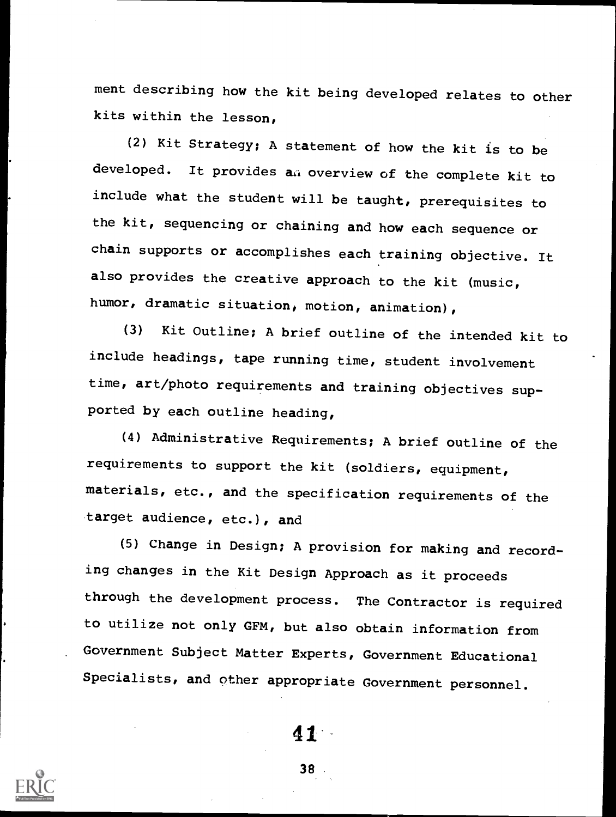ment describing how the kit being developed relates to other kits within the lesson,

(2) Kit Strategy; A statement of how the kit is to be developed. It provides an overview of the complete kit to include what the student will be taught, prerequisites to the kit, sequencing or chaining and how each sequence or chain supports or accomplishes each training objective. It also provides the creative approach to the kit (music, humor, dramatic situation, motion, animation),

(3) Kit Outline; A brief outline of the intended kit to include headings, tape running time, student involvement time, art/photo requirements and training objectives supported by each outline heading,

(4) Administrative Requirements; A brief outline of the requirements to support the kit (soldiers, equipment, materials, etc., and the specification requirements of the target audience, etc.), and

(5) Change in Design; A provision for making and recording changes in the Kit Design Approach as it proceeds through the development process. The Contractor is required to utilize not only GFM, but also obtain information from Government Subject Matter Experts, Government Educational Specialists, and other appropriate Government personnel.



41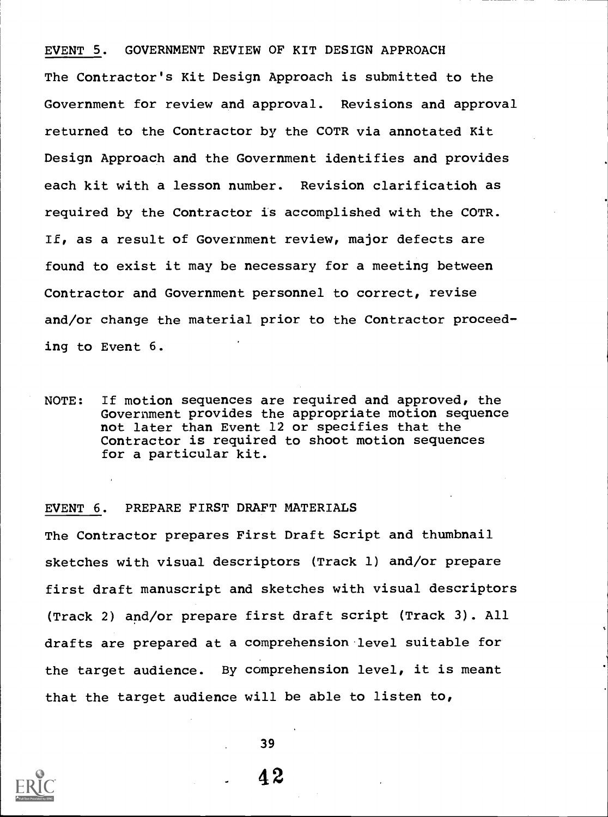EVENT 5. GOVERNMENT REVIEW OF KIT DESIGN APPROACH The Contractor's Kit Design Approach is submitted to the Government for review and approval. Revisions and approval returned to the Contractor by the COTR via annotated Kit Design Approach and the Government identifies and provides each kit with a lesson number. Revision clarificatioh as required by the Contractor is accomplished with the COTR. If, as a result of Government review, major defects are found to exist it may be necessary for a meeting between Contractor and Government personnel to correct, revise and/or change the material prior to the Contractor proceeding to Event 6.

NOTE: If motion sequences are required and approved, the Government provides the appropriate motion sequence not later than Event 12 or specifies that the Contractor is required to shoot motion sequences for a particular kit.

#### EVENT 6. PREPARE FIRST DRAFT MATERIALS

The Contractor prepares First Draft Script and thumbnail sketches with visual descriptors (Track 1) and/or prepare first draft manuscript and sketches with visual descriptors (Track 2) and/or prepare first draft script (Track 3). All drafts are prepared at a comprehension level suitable for the target audience. By comprehension level, it is meant that the target audience will be able to listen to,



39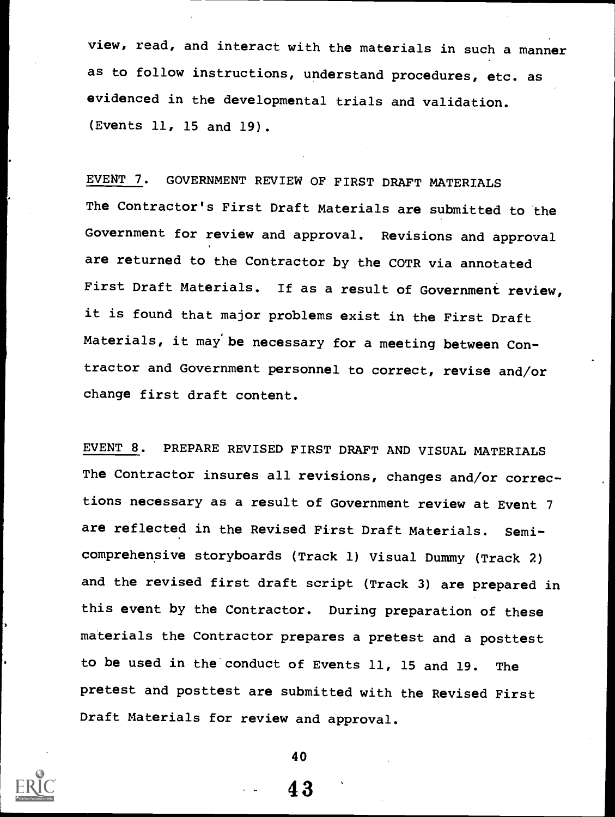view, read, and interact with the materials in such a manner as to follow instructions, understand procedures, etc. as evidenced in the developmental trials and validation. (Events 11, 15 and 19).

EVENT 7. GOVERNMENT REVIEW OF FIRST DRAFT MATERIALS The Contractor's First Draft Materials are submitted to the Government for review and approval. Revisions and approval are returned to the Contractor by the COTR via annotated First Draft Materials. If as a result of Government review, it is found that major problems exist in the First Draft Materials, it may be necessary for a meeting between Contractor and Government personnel to correct, revise and/or change first draft content.

EVENT 8. PREPARE REVISED FIRST DRAFT AND VISUAL MATERIALS The Contractor insures all revisions, changes and/or corrections necessary as a result of Government review at Event 7 are reflected in the Revised First Draft Materials. Semicomprehensive storyboards (Track 1) Visual Dummy (Track 2) and the revised first draft script (Track 3) are prepared in this event by the Contractor. During preparation of these materials the Contractor prepares a pretest and a posttest to be used in the conduct of Events 11, 15 and 19. The pretest and posttest are submitted with the Revised First Draft Materials for review and approval.



40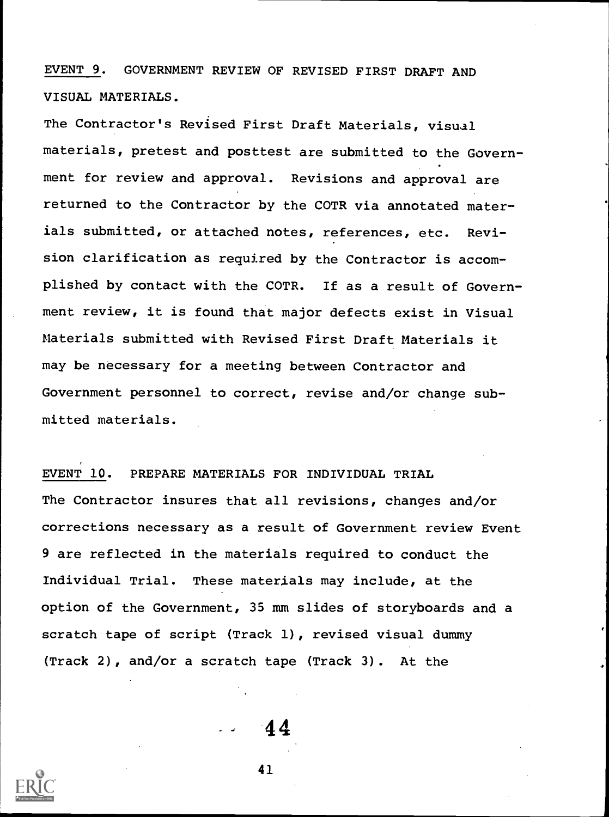EVENT 9. GOVERNMENT REVIEW OF REVISED FIRST DRAFT AND VISUAL MATERIALS.

The Contractor's Revised First Draft Materials, visual materials, pretest and posttest are submitted to the Government for review and approval. Revisions and approval are returned to the Contractor by the COTR via annotated materials submitted, or attached notes, references, etc. Revision clarification as required by the Contractor is accomplished by contact with the COTR. If as a result of Government review, it is found that major defects exist in Visual Materials submitted with Revised First Draft Materials it may be necessary for a meeting between Contractor and Government personnel to correct, revise and/or change submitted materials.

EVENT 10. PREPARE MATERIALS FOR INDIVIDUAL TRIAL The Contractor insures that all revisions, changes and/or corrections necessary as a result of Government review Event 9 are reflected in the materials required to conduct the Individual Trial. These materials may include, at the option of the Government, 35 mm slides of storyboards and a scratch tape of script (Track 1), revised visual dummy (Track 2), and/or a scratch tape (Track 3). At the

44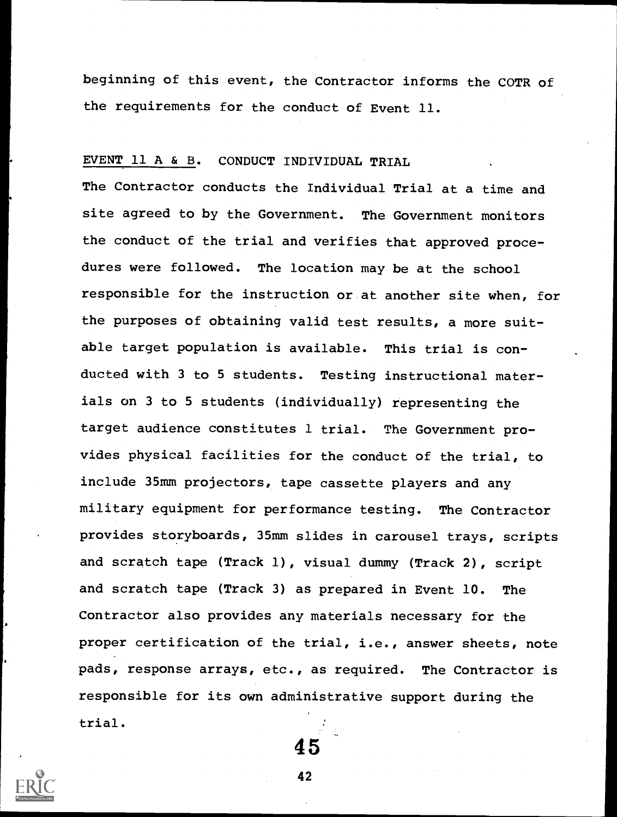beginning of this event, the Contractor informs the COTR of the requirements for the conduct of Event 11.

#### EVENT 11 A & B. CONDUCT INDIVIDUAL TRIAL

The Contractor conducts the Individual Trial at a time and site agreed to by the Government. The Government monitors the conduct of the trial and verifies that approved procedures were followed. The location may be at the school responsible for the instruction or at another site when, for the purposes of obtaining valid test results, a more suitable target population is available. This trial is conducted with 3 to 5 students. Testing instructional materials on 3 to 5 students (individually) representing the target audience constitutes 1 trial. The Government provides physical facilities for the conduct of the trial, to include 35mm projectors, tape cassette players and any military equipment for performance testing. The Contractor provides storyboards, 35mm slides in carousel trays, scripts and scratch tape (Track 1), visual dummy (Track 2), script and scratch tape (Track 3) as prepared in Event 10. The Contractor also provides any materials necessary for the proper certification of the trial, i.e., answer sheets, note pads, response arrays, etc., as required. The Contractor is responsible for its own administrative support during the trial.



42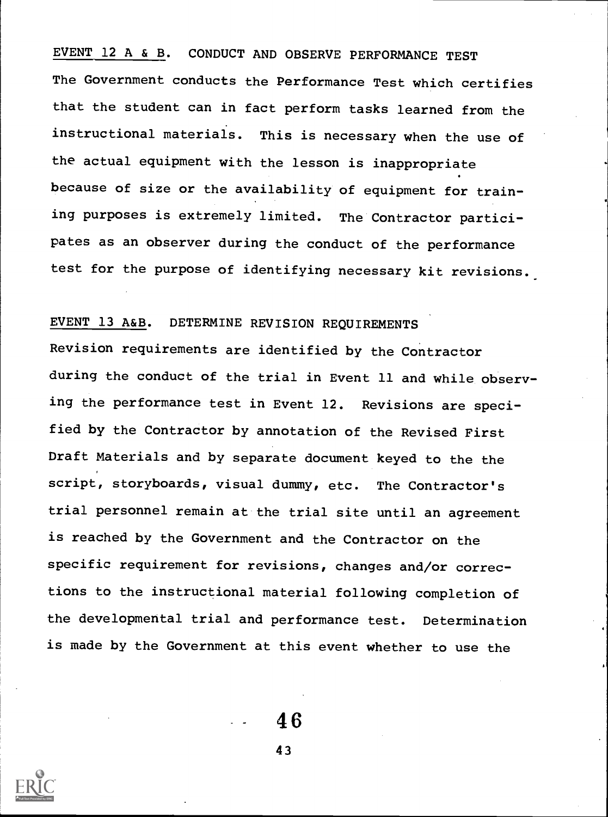## EVENT 12 A & B. CONDUCT AND OBSERVE PERFORMANCE TEST

The Government conducts the Performance Test which certifies that the student can in fact perform tasks learned from the instructional materials. This is necessary when the use of the actual equipment with the lesson is inappropriate because of size or the availability of equipment for training purposes is extremely limited. The Contractor participates as an observer during the conduct of the performance test for the purpose of identifying necessary kit revisions.

## EVENT 13 A&B. DETERMINE REVISION REQUIREMENTS

Revision requirements are identified by the Contractor during the conduct of the trial in Event 11 and while observing the performance test in Event 12. Revisions are specified by the Contractor by annotation of the Revised First Draft Materials and by separate document keyed to the the script, storyboards, visual dummy, etc. The Contractor's trial personnel remain at the trial site until an agreement is reached by the Government and the Contractor on the specific requirement for revisions, changes and/or corrections to the instructional material following completion of the developmental trial and performance test. Determination is made by the Government at this event whether to use the

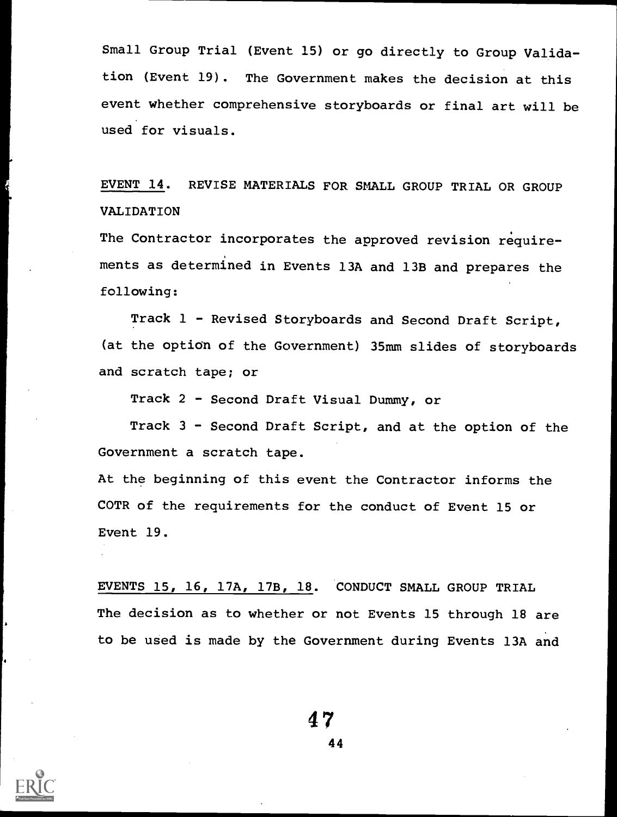Small Group Trial (Event 15) or go directly to Group Validation (Event 19). The Government makes the decision at this event whether comprehensive storyboards or final art will be used for visuals.

EVENT 14. REVISE MATERIALS FOR SMALL GROUP TRIAL OR GROUP VALIDATION

The Contractor incorporates the approved revision requirements as determined in Events 13A and 13B and prepares the following:

Track 1 - Revised Storyboards and Second Draft Script, (at the option of the Government) 35mm slides of storyboards and scratch tape; or

Track 2 - Second Draft Visual Dummy, or

Track 3 - Second Draft Script, and at the option of the Government a scratch tape.

At the beginning of this event the Contractor informs the COTR of the requirements for the conduct of Event 15 or Event 19.

EVENTS 15, 16, 17A, 17B, 18. CONDUCT SMALL GROUP TRIAL The decision as to whether or not Events 15 through 18 are to be used is made by the Government during Events 13A and

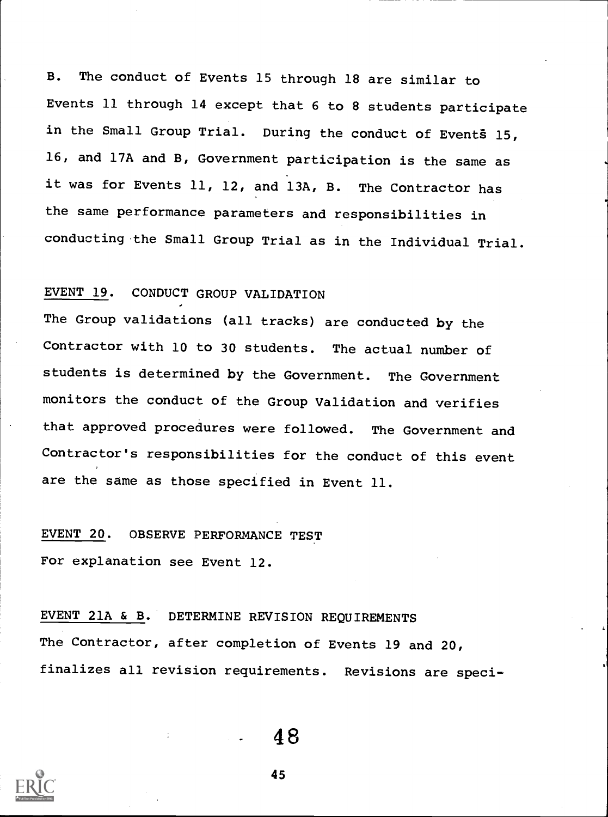B. The conduct of Events 15 through 18 are similar to Events 11 through 14 except that 6 to 8 students participate in the Small Group Trial. During the conduct of Events 15, 16, and 17A and B, Government participation is the same as it was for Events 11, 12, and 13A, B. The Contractor has the same performance parameters and responsibilities in conducting the Small Group Trial as in the Individual Trial.

## EVENT 19. CONDUCT GROUP VALIDATION

The Group validations (all tracks) are conducted by the Contractor with 10 to 30 students. The actual number of students is determined by the Government. The Government monitors the conduct of the Group Validation and verifies that approved procedures were followed. The Government and Contractor's responsibilities for the conduct of this event are the same as those specified in Event 11.

## EVENT 20. OBSERVE PERFORMANCE TEST

For explanation see Event 12.

# EVENT 21A & B. DETERMINE REVISION REQUIREMENTS The Contractor, after completion of Events 19 and 20, finalizes all revision requirements. Revisions are speci-

48

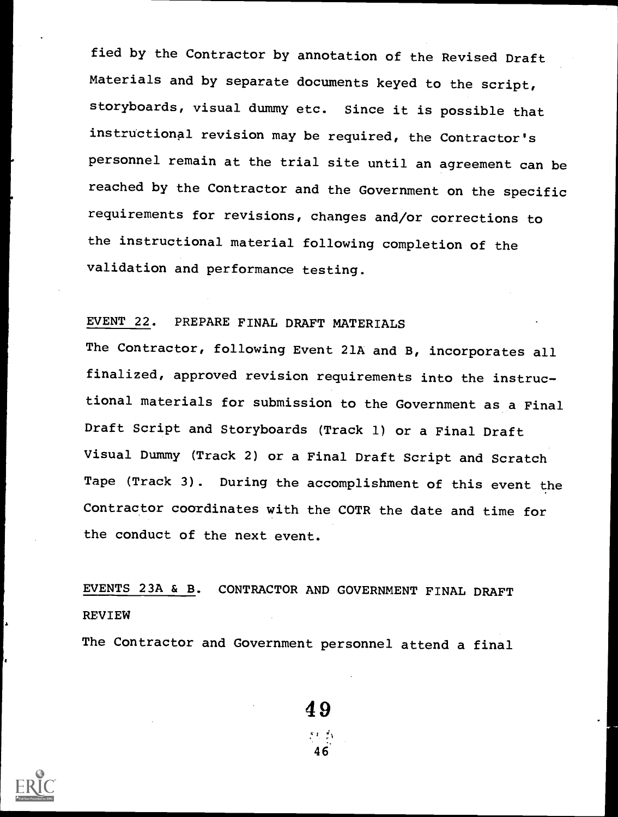fied by the Contractor by annotation of the Revised Draft Materials and by separate documents keyed to the script, storyboards, visual dummy etc. Since it is possible that instructional revision may be required, the Contractor's personnel remain at the trial site until an agreement can be reached by the Contractor and the Government on the specific requirements for revisions, changes and/or corrections to the instructional material following completion of the validation and performance testing.

## EVENT 22. PREPARE FINAL DRAFT MATERIALS

The Contractor, following Event 21A and B, incorporates all finalized, approved revision requirements into the instructional materials for submission to the Government as a Final Draft Script and Storyboards (Track 1) or a Final Draft Visual Dummy (Track 2) or a Final Draft Script and Scratch Tape (Track 3). During the accomplishment of this event the Contractor coordinates with the COTR the date and time for the conduct of the next event.

EVENTS 23A & B. CONTRACTOR AND GOVERNMENT FINAL DRAFT REVIEW

The Contractor and Government personnel attend a final

49

46.

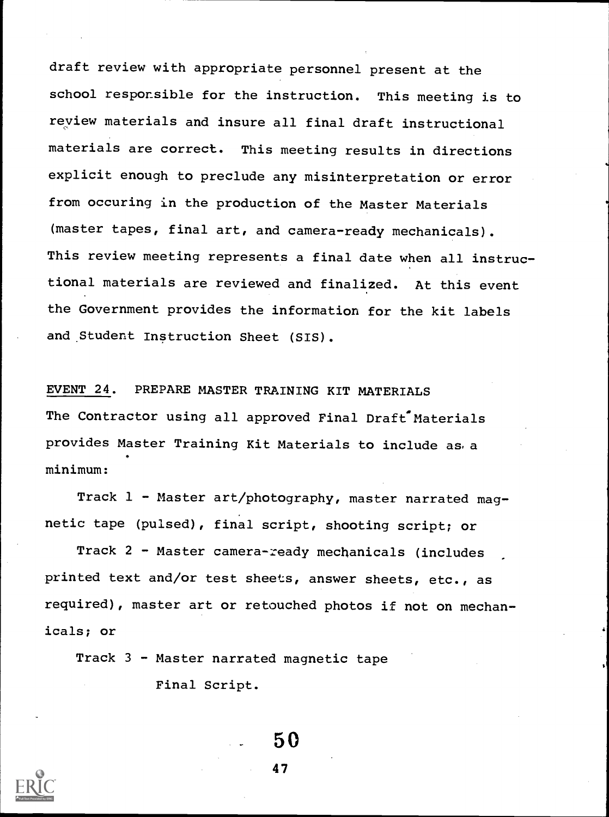draft review with appropriate personnel present at the school responsible for the instruction. This meeting is to review materials and insure all final draft instructional materials are correct. This meeting results in directions explicit enough to preclude any misinterpretation or error from occuring in the production of the Master Materials (master tapes, final art, and camera-ready mechanicals). This review meeting represents a final date when all instructional materials are reviewed and finalized. At this event the Government provides the information for the kit labels and Student Instruction Sheet (SIS).

EVENT 24. PREPARE MASTER TRAINING KIT MATERIALS The Contractor using all approved Final Draft Materials provides Master Training Kit Materials to include as, a minimum:

Track 1 - Master art/photography, master narrated magnetic tape (pulsed), final script, shooting script; or

Track 2 - Master camera-ready mechanicals (includes printed text and/or test sheets, answer sheets, etc., as required), master art or retouched photos if not on mechanicals; or

Track 3 - Master narrated magnetic tape

Final Script.



50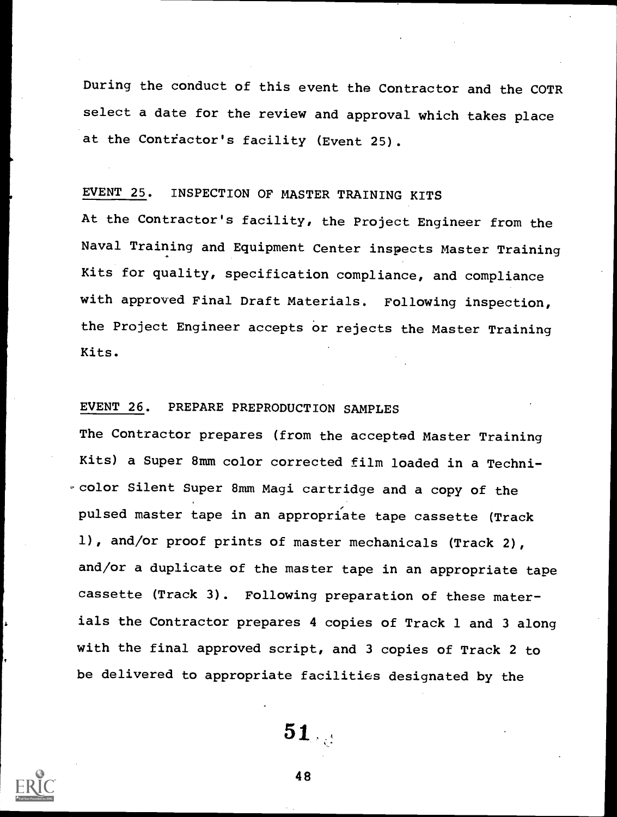During the conduct of this event the Contractor and the COTR select a date for the review and approval which takes place at the Contractor's facility (Event 25).

## EVENT 25. INSPECTION OF MASTER TRAINING KITS

At the Contractor's facility, the Project Engineer from the Naval Training and Equipment Center inspects Master Training Kits for quality, specification compliance, and compliance with approved Final Draft Materials. Following inspection, the Project Engineer accepts or rejects the Master Training Kits.

## EVENT 26. PREPARE PREPRODUCTION SAMPLES

The Contractor prepares (from the accepted Master Training Kits) a Super 8mm color corrected film loaded in a Technicolor Silent Super 8mm Magi cartridge and a copy of the pulsed master tape in an appropriate tape cassette (Track 1), and/or proof prints of master mechanicals (Track 2), and/or a duplicate of the master tape in an appropriate tape cassette (Track 3). Following preparation of these materials the Contractor prepares 4 copies of Track 1 and 3 along with the final approved script, and 3 copies of Track 2 to be delivered to appropriate facilities designated by the

51

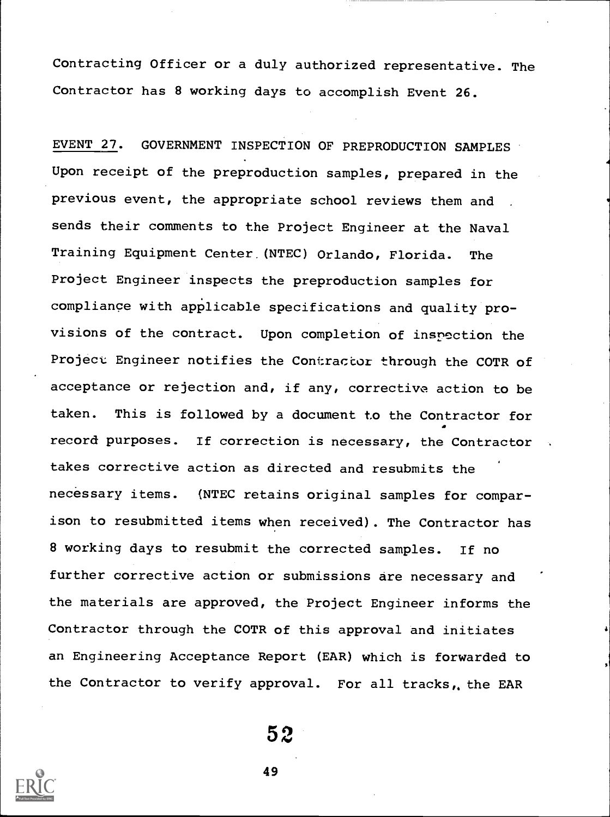Contracting Officer or a duly authorized representative. The Contractor has 8 working days to accomplish Event 26.

EVENT 27. GOVERNMENT INSPECTION OF PREPRODUCTION SAMPLES Upon receipt of the preproduction samples, prepared in the previous event, the appropriate school reviews them and sends their comments to the Project Engineer at the Naval Training Equipment Center,(NTEC) Orlando, Florida. The Project Engineer inspects the preproduction samples for compliance with applicable specifications and quality provisions of the contract. Upon completion of inspection the Project Engineer notifies the Contractor through the COTR of acceptance or rejection and, if any, corrective action to be taken. This is followed by a document to the Contractor for record purposes. If correction is necessary, the Contractor takes corrective action as directed and resubmits the necessary items. (NTEC retains original samples for comparison to resubmitted items when received). The Contractor has 8 working days to resubmit the corrected samples. If no further corrective action or submissions are necessary and the materials are approved, the Project Engineer informs the Contractor through the COTR of this approval and initiates an Engineering Acceptance Report (EAR) which is forwarded to the Contractor to verify approval. For all tracks,, the EAR

52 and  $\sim$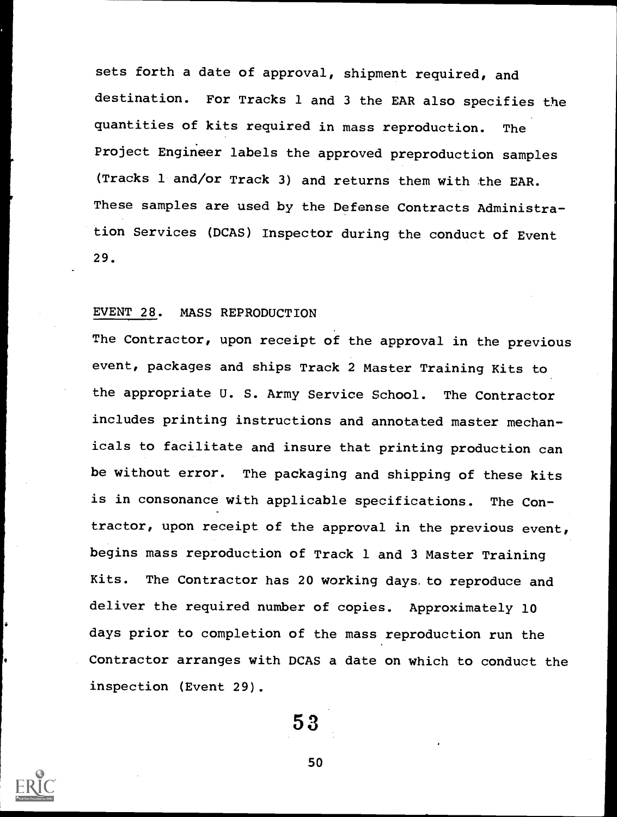sets forth a date of approval, shipment required, and destination. For Tracks 1 and 3 the EAR also specifies the quantities of kits required in mass reproduction. The Project Engineer labels the approved preproduction samples (Tracks 1 and/or Track 3) and returns them with the EAR. These samples are used by the Defense Contracts Administration Services (DCAS) Inspector during the conduct of Event 29.

#### EVENT 28. MASS REPRODUCTION

The Contractor, upon receipt of the approval in the previous event, packages and ships Track 2 Master Training Kits to the appropriate U. S. Army Service School. The Contractor includes printing instructions and annotated master mechanicals to facilitate and insure that printing production can be without error. The packaging and shipping of these kits is in consonance with applicable specifications. The Contractor, upon receipt of the approval in the previous event, begins mass reproduction of Track 1 and 3 Master Training Kits. The Contractor has 20 working days, to reproduce and deliver the required number of copies. Approximately 10 days prior to completion of the mass reproduction run the Contractor arranges with DCAS a date on which to conduct the inspection (Event 29).

53